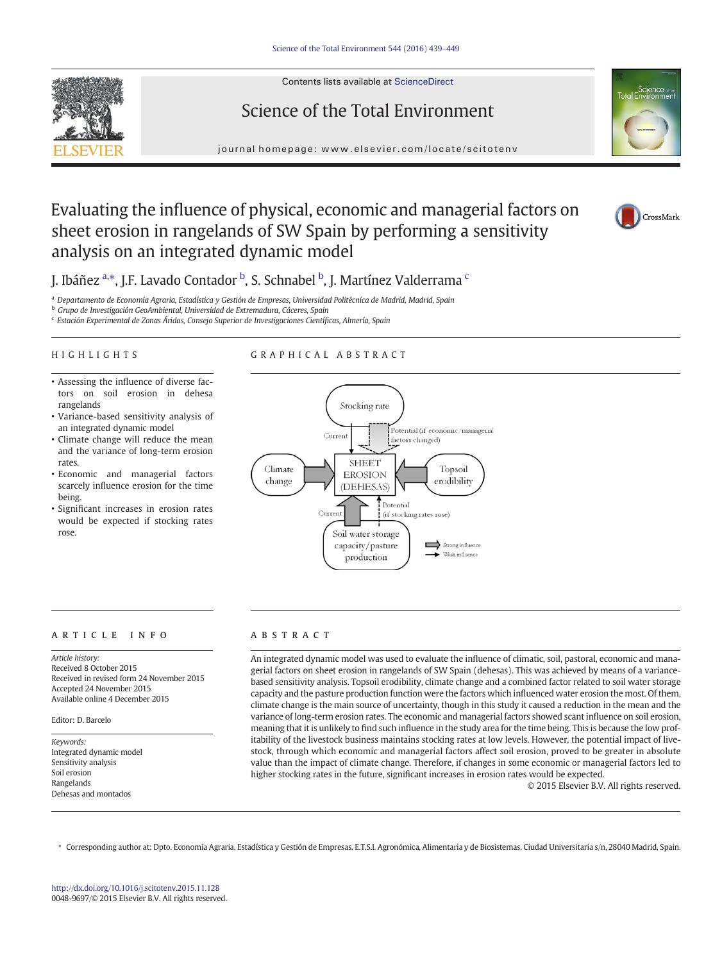Contents lists available at ScienceDirect









# Evaluating the influence of physical, economic and managerial factors on sheet erosion in rangelands of SW Spain by performing a sensitivity analysis on an integrated dynamic model



J. Ibáñez <sup>a,</sup>\*, J.F. Lavado Contador <sup>b</sup>, S. Schnabel <sup>b</sup>, J. Martínez Valderrama <sup>c</sup>

a Departamento de Economía Agraria, Estadística y Gestión de Empresas, Universidad Politécnica de Madrid, Madrid, Spain

**b** Grupo de Investigación GeoAmbiental, Universidad de Extremadura, Cáceres, Spain

<sup>c</sup> Estación Experimental de Zonas Áridas, Consejo Superior de Investigaciones Científicas, Almería, Spain

# HIGHLIGHTS

# GRAPHICAL ABSTRACT

- Assessing the influence of diverse factors on soil erosion in dehesa rangelands
- Variance-based sensitivity analysis of an integrated dynamic model
- Climate change will reduce the mean and the variance of long-term erosion rates.
- Economic and managerial factors scarcely influence erosion for the time being.
- Significant increases in erosion rates would be expected if stocking rates rose.



# article info abstract

Article history: Received 8 October 2015 Received in revised form 24 November 2015 Accepted 24 November 2015 Available online 4 December 2015

Editor: D. Barcelo

Keywords: Integrated dynamic model Sensitivity analysis Soil erosion Rangelands Dehesas and montados

An integrated dynamic model was used to evaluate the influence of climatic, soil, pastoral, economic and managerial factors on sheet erosion in rangelands of SW Spain (dehesas). This was achieved by means of a variancebased sensitivity analysis. Topsoil erodibility, climate change and a combined factor related to soil water storage capacity and the pasture production function were the factors which influenced water erosion the most. Of them, climate change is the main source of uncertainty, though in this study it caused a reduction in the mean and the variance of long-term erosion rates. The economic and managerial factors showed scant influence on soil erosion, meaning that it is unlikely to find such influence in the study area for the time being. This is because the low profitability of the livestock business maintains stocking rates at low levels. However, the potential impact of livestock, through which economic and managerial factors affect soil erosion, proved to be greater in absolute value than the impact of climate change. Therefore, if changes in some economic or managerial factors led to higher stocking rates in the future, significant increases in erosion rates would be expected.

© 2015 Elsevier B.V. All rights reserved.

⁎ Corresponding author at: Dpto. Economía Agraria, Estadística y Gestión de Empresas. E.T.S.I. Agronómica, Alimentaria y de Biosistemas. Ciudad Universitaria s/n, 28040 Madrid, Spain.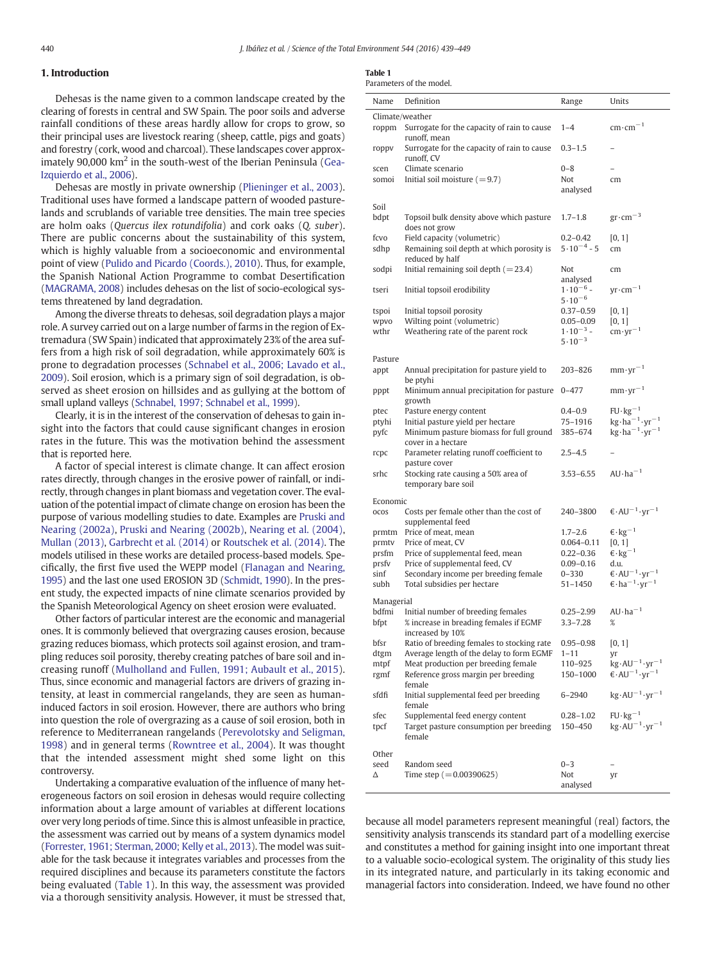# <span id="page-1-0"></span>1. Introduction

Dehesas is the name given to a common landscape created by the clearing of forests in central and SW Spain. The poor soils and adverse rainfall conditions of these areas hardly allow for crops to grow, so their principal uses are livestock rearing (sheep, cattle, pigs and goats) and forestry (cork, wood and charcoal). These landscapes cover approximately 90,000  $km^2$  in the south-west of the Iberian Peninsula ([Gea-](#page-9-0)[Izquierdo et al., 2006](#page-9-0)).

Dehesas are mostly in private ownership [\(Plieninger et al., 2003](#page-9-0)). Traditional uses have formed a landscape pattern of wooded pasturelands and scrublands of variable tree densities. The main tree species are holm oaks (Quercus ilex rotundifolia) and cork oaks (Q. suber). There are public concerns about the sustainability of this system, which is highly valuable from a socioeconomic and environmental point of view [\(Pulido and Picardo \(Coords.\), 2010\)](#page-10-0). Thus, for example, the Spanish National Action Programme to combat Desertification [\(MAGRAMA, 2008\)](#page-9-0) includes dehesas on the list of socio-ecological systems threatened by land degradation.

Among the diverse threats to dehesas, soil degradation plays a major role. A survey carried out on a large number of farms in the region of Extremadura (SW Spain) indicated that approximately 23% of the area suffers from a high risk of soil degradation, while approximately 60% is prone to degradation processes ([Schnabel et al., 2006; Lavado et al.,](#page-9-0) [2009\)](#page-9-0). Soil erosion, which is a primary sign of soil degradation, is observed as sheet erosion on hillsides and as gullying at the bottom of small upland valleys ([Schnabel, 1997; Schnabel et al., 1999](#page-9-0)).

Clearly, it is in the interest of the conservation of dehesas to gain insight into the factors that could cause significant changes in erosion rates in the future. This was the motivation behind the assessment that is reported here.

A factor of special interest is climate change. It can affect erosion rates directly, through changes in the erosive power of rainfall, or indirectly, through changes in plant biomass and vegetation cover. The evaluation of the potential impact of climate change on erosion has been the purpose of various modelling studies to date. Examples are [Pruski and](#page-9-0) [Nearing \(2002a\),](#page-9-0) [Pruski and Nearing \(2002b\),](#page-9-0) [Nearing et al. \(2004\),](#page-9-0) [Mullan \(2013\)](#page-9-0), [Garbrecht et al. \(2014\)](#page-9-0) or [Routschek et al. \(2014\).](#page-9-0) The models utilised in these works are detailed process-based models. Specifically, the first five used the WEPP model [\(Flanagan and Nearing,](#page-9-0) [1995\)](#page-9-0) and the last one used EROSION 3D [\(Schmidt, 1990](#page-9-0)). In the present study, the expected impacts of nine climate scenarios provided by the Spanish Meteorological Agency on sheet erosion were evaluated.

Other factors of particular interest are the economic and managerial ones. It is commonly believed that overgrazing causes erosion, because grazing reduces biomass, which protects soil against erosion, and trampling reduces soil porosity, thereby creating patches of bare soil and increasing runoff [\(Mulholland and Fullen, 1991; Aubault et al., 2015](#page-9-0)). Thus, since economic and managerial factors are drivers of grazing intensity, at least in commercial rangelands, they are seen as humaninduced factors in soil erosion. However, there are authors who bring into question the role of overgrazing as a cause of soil erosion, both in reference to Mediterranean rangelands ([Perevolotsky and Seligman,](#page-9-0) [1998](#page-9-0)) and in general terms [\(Rowntree et al., 2004](#page-9-0)). It was thought that the intended assessment might shed some light on this controversy.

Undertaking a comparative evaluation of the influence of many heterogeneous factors on soil erosion in dehesas would require collecting information about a large amount of variables at different locations over very long periods of time. Since this is almost unfeasible in practice, the assessment was carried out by means of a system dynamics model [\(Forrester, 1961; Sterman, 2000; Kelly et al., 2013](#page-9-0)). The model was suitable for the task because it integrates variables and processes from the required disciplines and because its parameters constitute the factors being evaluated (Table 1). In this way, the assessment was provided via a thorough sensitivity analysis. However, it must be stressed that,

| $\sim$<br> |  |
|------------|--|
|------------|--|

Parameters of the model.

| Name          | Definition                                                                | Range                              | Units                                                  |  |  |  |  |  |  |
|---------------|---------------------------------------------------------------------------|------------------------------------|--------------------------------------------------------|--|--|--|--|--|--|
|               | Climate/weather                                                           |                                    |                                                        |  |  |  |  |  |  |
| roppm         | Surrogate for the capacity of rain to cause                               | $1 - 4$                            | $cm \cdot cm^{-1}$                                     |  |  |  |  |  |  |
| roppv         | runoff, mean<br>Surrogate for the capacity of rain to cause<br>runoff, CV | $0.3 - 1.5$                        |                                                        |  |  |  |  |  |  |
| scen          | Climate scenario                                                          | $0 - 8$                            |                                                        |  |  |  |  |  |  |
| somoi         | Initial soil moisture $(=9.7)$                                            | Not                                | cm                                                     |  |  |  |  |  |  |
|               |                                                                           | analysed                           |                                                        |  |  |  |  |  |  |
| Soil          |                                                                           |                                    |                                                        |  |  |  |  |  |  |
| bdpt          | Topsoil bulk density above which pasture<br>does not grow                 | $1.7 - 1.8$                        | $gr\cdot cm^{-3}$                                      |  |  |  |  |  |  |
| fcvo          | Field capacity (volumetric)                                               | $0.2 - 0.42$                       | [0, 1]                                                 |  |  |  |  |  |  |
| sdhp          | Remaining soil depth at which porosity is<br>reduced by half              | $5 \cdot 10^{-4}$ - 5              | cm                                                     |  |  |  |  |  |  |
| sodpi         | Initial remaining soil depth $(=23.4)$                                    | Not                                | cm                                                     |  |  |  |  |  |  |
|               |                                                                           | analysed                           |                                                        |  |  |  |  |  |  |
| tseri         | Initial topsoil erodibility                                               | $1 \cdot 10^{-6}$ -                | $yr \cdot cm^{-1}$                                     |  |  |  |  |  |  |
|               |                                                                           | $5 \cdot 10^{-6}$                  |                                                        |  |  |  |  |  |  |
| tspoi         | Initial topsoil porosity                                                  | $0.37 - 0.59$                      | [0, 1]                                                 |  |  |  |  |  |  |
| wpvo          | Wilting point (volumetric)                                                | $0.05 - 0.09$                      | [0, 1]                                                 |  |  |  |  |  |  |
| wthr          | Weathering rate of the parent rock                                        | $1.10^{-3}$ -<br>$5 \cdot 10^{-3}$ | $cm \cdot yr^{-1}$                                     |  |  |  |  |  |  |
|               |                                                                           |                                    |                                                        |  |  |  |  |  |  |
| Pasture       |                                                                           |                                    |                                                        |  |  |  |  |  |  |
| appt          | Annual precipitation for pasture yield to                                 | 203-826                            | $mm \cdot yr^{-1}$                                     |  |  |  |  |  |  |
| pppt          | be ptyhi<br>Minimum annual precipitation for pasture                      | $0 - 477$                          | $mm \cdot yr^{-1}$                                     |  |  |  |  |  |  |
|               | growth                                                                    |                                    |                                                        |  |  |  |  |  |  |
| ptec          | Pasture energy content<br>Initial pasture yield per hectare               | $0.4 - 0.9$                        | $FU \cdot kg^{-1}$<br>$kg \cdot ha^{-1} \cdot yr^{-1}$ |  |  |  |  |  |  |
| ptyhi<br>pyfc | Minimum pasture biomass for full ground                                   | 75-1916<br>385-674                 | $kg \cdot ha^{-1} \cdot yr^{-1}$                       |  |  |  |  |  |  |
|               | cover in a hectare                                                        |                                    |                                                        |  |  |  |  |  |  |
| rcpc          | Parameter relating runoff coefficient to                                  | $2.5 - 4.5$                        |                                                        |  |  |  |  |  |  |
| srhc          | pasture cover<br>Stocking rate causing a 50% area of                      | $3.53 - 6.55$                      | $AU \cdot ha^{-1}$                                     |  |  |  |  |  |  |
|               | temporary bare soil                                                       |                                    |                                                        |  |  |  |  |  |  |
|               |                                                                           |                                    |                                                        |  |  |  |  |  |  |
| Economic      |                                                                           |                                    |                                                        |  |  |  |  |  |  |
| ocos          | Costs per female other than the cost of<br>supplemental feed              | 240-3800                           | $\epsilon$ · AU <sup>-1</sup> · yr <sup>-1</sup>       |  |  |  |  |  |  |
| prmtm         | Price of meat, mean                                                       | $1.7 - 2.6$                        | $\epsilon$ · kg <sup>-1</sup>                          |  |  |  |  |  |  |
| prmtv         | Price of meat, CV                                                         | $0.064 - 0.11$                     | [0, 1]                                                 |  |  |  |  |  |  |
| prsfm         | Price of supplemental feed, mean                                          | $0.22 - 0.36$                      | $\epsilon$ · kg <sup>-1</sup>                          |  |  |  |  |  |  |
| prsfy         | Price of supplemental feed, CV                                            | $0.09 - 0.16$                      | d.u.                                                   |  |  |  |  |  |  |
| sinf          | Secondary income per breeding female                                      | $0 - 330$                          | $\varepsilon$ ·AU <sup>-1</sup> ·yr <sup>-1</sup>      |  |  |  |  |  |  |
| subh          | Total subsidies per hectare                                               | 51-1450                            | $\epsilon$ ·ha <sup>-1</sup> ·yr <sup>-1</sup>         |  |  |  |  |  |  |
| Managerial    |                                                                           |                                    |                                                        |  |  |  |  |  |  |
| bdfmi         | Initial number of breeding females                                        | $0.25 - 2.99$                      | $AU \cdot ha^{-1}$                                     |  |  |  |  |  |  |
| bfpt          | % increase in breading females if EGMF                                    | $3.3 - 7.28$                       | $\%$                                                   |  |  |  |  |  |  |
|               | increased by 10%                                                          |                                    |                                                        |  |  |  |  |  |  |
| bfsr          | Ratio of breeding females to stocking rate                                | $0.95 - 0.98$                      | [0, 1]                                                 |  |  |  |  |  |  |
| dtgm          | Average length of the delay to form EGMF                                  | $1 - 11$                           | yr                                                     |  |  |  |  |  |  |
| mtpf          | Meat production per breeding female                                       | 110–925                            | $kg \cdot AU^{-1} \cdot yr^{-1}$                       |  |  |  |  |  |  |
| rgmf          | Reference gross margin per breeding                                       | 150-1000                           | $\epsilon$ · AU <sup>-1</sup> · yr <sup>-1</sup>       |  |  |  |  |  |  |
| sfdfi         | female                                                                    |                                    | $kg \cdot AU^{-1} \cdot yr^{-1}$                       |  |  |  |  |  |  |
|               | Initial supplemental feed per breeding<br>female                          | 6-2940                             |                                                        |  |  |  |  |  |  |
| sfec          | Supplemental feed energy content                                          | $0.28 - 1.02$                      | $FU \cdot kg^{-1}$                                     |  |  |  |  |  |  |
| tpcf          | Target pasture consumption per breeding                                   | 150-450                            | $kg \cdot AU^{-1} \cdot yr^{-1}$                       |  |  |  |  |  |  |
|               | female                                                                    |                                    |                                                        |  |  |  |  |  |  |
|               |                                                                           |                                    |                                                        |  |  |  |  |  |  |
| Other<br>seed | Random seed                                                               | $0 - 3$                            |                                                        |  |  |  |  |  |  |
| Δ             | Time step $(=0.00390625)$                                                 | Not                                | yr                                                     |  |  |  |  |  |  |
|               |                                                                           | analysed                           |                                                        |  |  |  |  |  |  |

because all model parameters represent meaningful (real) factors, the sensitivity analysis transcends its standard part of a modelling exercise and constitutes a method for gaining insight into one important threat to a valuable socio-ecological system. The originality of this study lies in its integrated nature, and particularly in its taking economic and managerial factors into consideration. Indeed, we have found no other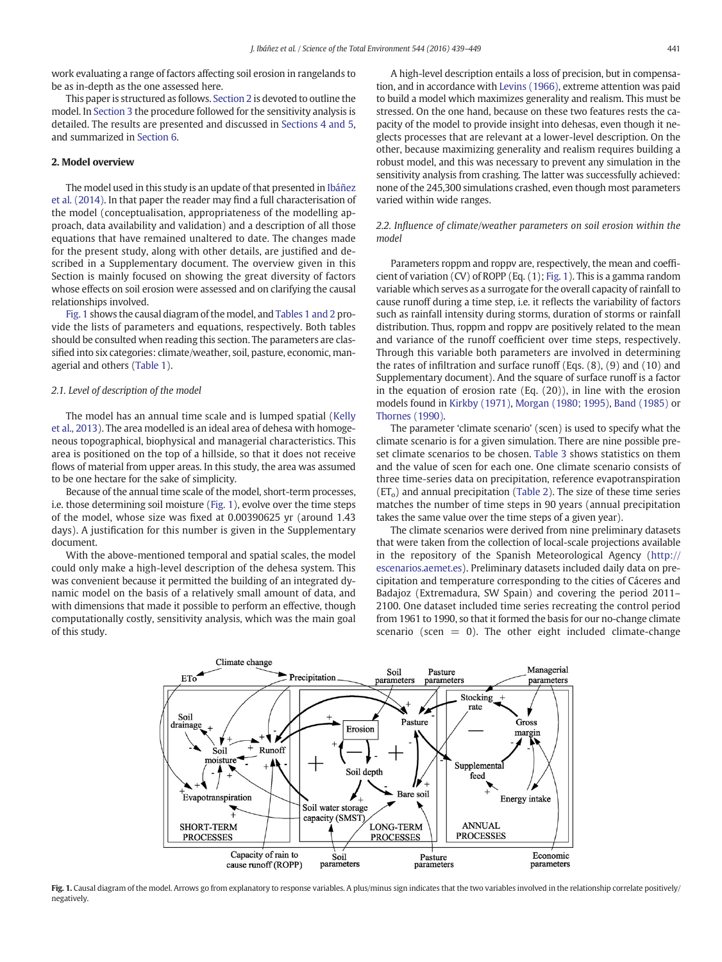<span id="page-2-0"></span>work evaluating a range of factors affecting soil erosion in rangelands to be as in-depth as the one assessed here.

This paper is structured as follows. Section 2 is devoted to outline the model. In [Section 3](#page-4-0) the procedure followed for the sensitivity analysis is detailed. The results are presented and discussed in [Sections 4 and 5,](#page-6-0) and summarized in [Section 6.](#page-9-0)

#### 2. Model overview

The model used in this study is an update of that presented in [Ibáñez](#page-9-0) [et al. \(2014\).](#page-9-0) In that paper the reader may find a full characterisation of the model (conceptualisation, appropriateness of the modelling approach, data availability and validation) and a description of all those equations that have remained unaltered to date. The changes made for the present study, along with other details, are justified and described in a Supplementary document. The overview given in this Section is mainly focused on showing the great diversity of factors whose effects on soil erosion were assessed and on clarifying the causal relationships involved.

Fig. 1 shows the causal diagram of the model, and [Tables 1 and 2](#page-1-0) provide the lists of parameters and equations, respectively. Both tables should be consulted when reading this section. The parameters are classified into six categories: climate/weather, soil, pasture, economic, managerial and others ([Table 1](#page-1-0)).

#### 2.1. Level of description of the model

The model has an annual time scale and is lumped spatial [\(Kelly](#page-9-0) [et al., 2013](#page-9-0)). The area modelled is an ideal area of dehesa with homogeneous topographical, biophysical and managerial characteristics. This area is positioned on the top of a hillside, so that it does not receive flows of material from upper areas. In this study, the area was assumed to be one hectare for the sake of simplicity.

Because of the annual time scale of the model, short-term processes, i.e. those determining soil moisture (Fig. 1), evolve over the time steps of the model, whose size was fixed at 0.00390625 yr (around 1.43 days). A justification for this number is given in the Supplementary document.

With the above-mentioned temporal and spatial scales, the model could only make a high-level description of the dehesa system. This was convenient because it permitted the building of an integrated dynamic model on the basis of a relatively small amount of data, and with dimensions that made it possible to perform an effective, though computationally costly, sensitivity analysis, which was the main goal of this study.

A high-level description entails a loss of precision, but in compensation, and in accordance with [Levins \(1966\),](#page-9-0) extreme attention was paid to build a model which maximizes generality and realism. This must be stressed. On the one hand, because on these two features rests the capacity of the model to provide insight into dehesas, even though it neglects processes that are relevant at a lower-level description. On the other, because maximizing generality and realism requires building a robust model, and this was necessary to prevent any simulation in the sensitivity analysis from crashing. The latter was successfully achieved: none of the 245,300 simulations crashed, even though most parameters varied within wide ranges.

### 2.2. Influence of climate/weather parameters on soil erosion within the model

Parameters roppm and roppv are, respectively, the mean and coefficient of variation (CV) of ROPP (Eq. (1); Fig. 1). This is a gamma random variable which serves as a surrogate for the overall capacity of rainfall to cause runoff during a time step, i.e. it reflects the variability of factors such as rainfall intensity during storms, duration of storms or rainfall distribution. Thus, roppm and roppv are positively related to the mean and variance of the runoff coefficient over time steps, respectively. Through this variable both parameters are involved in determining the rates of infiltration and surface runoff (Eqs. (8), (9) and (10) and Supplementary document). And the square of surface runoff is a factor in the equation of erosion rate (Eq. (20)), in line with the erosion models found in [Kirkby \(1971\)](#page-9-0), [Morgan \(1980; 1995\),](#page-9-0) [Band \(1985\)](#page-9-0) or [Thornes \(1990\).](#page-10-0)

The parameter 'climate scenario' (scen) is used to specify what the climate scenario is for a given simulation. There are nine possible preset climate scenarios to be chosen. [Table 3](#page-3-0) shows statistics on them and the value of scen for each one. One climate scenario consists of three time-series data on precipitation, reference evapotranspiration  $(ET<sub>o</sub>)$  and annual precipitation [\(Table 2](#page-3-0)). The size of these time series matches the number of time steps in 90 years (annual precipitation takes the same value over the time steps of a given year).

The climate scenarios were derived from nine preliminary datasets that were taken from the collection of local-scale projections available in the repository of the Spanish Meteorological Agency [\(http://](http://escenarios.aemet.es) [escenarios.aemet.es](http://escenarios.aemet.es)). Preliminary datasets included daily data on precipitation and temperature corresponding to the cities of Cáceres and Badajoz (Extremadura, SW Spain) and covering the period 2011– 2100. One dataset included time series recreating the control period from 1961 to 1990, so that it formed the basis for our no-change climate scenario (scen  $= 0$ ). The other eight included climate-change



Fig. 1. Causal diagram of the model. Arrows go from explanatory to response variables. A plus/minus sign indicates that the two variables involved in the relationship correlate positively/ negatively.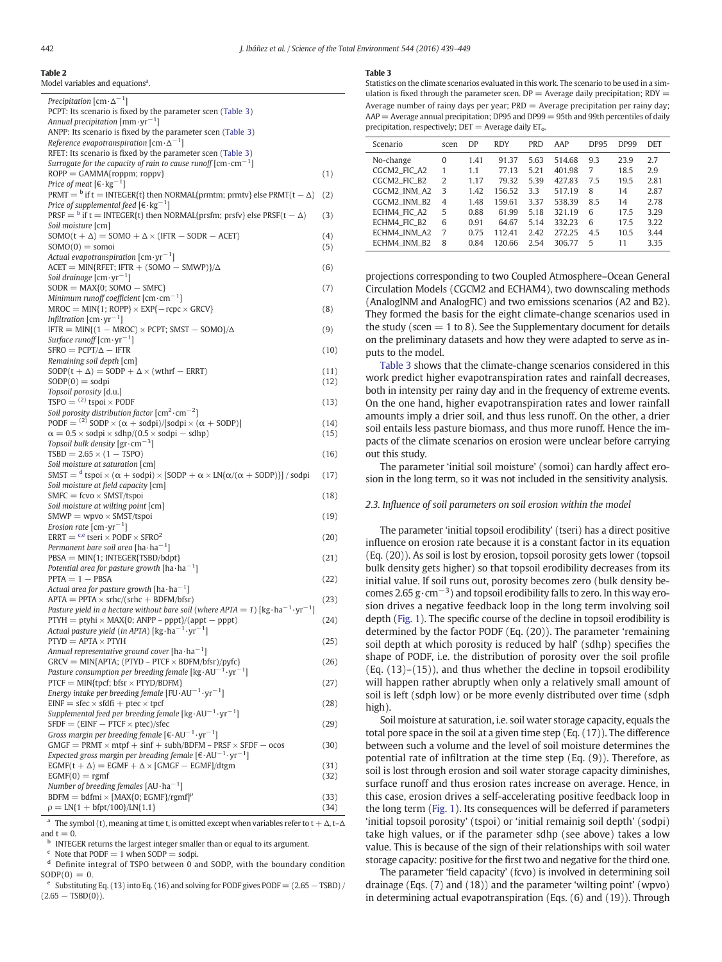# <span id="page-3-0"></span>Table 2

| Model variables and equations <sup>a</sup> .                                                                                                                           |      |
|------------------------------------------------------------------------------------------------------------------------------------------------------------------------|------|
| Precipitation $\text{[cm-}\Delta^{-1}\text{]}$                                                                                                                         |      |
| PCPT: Its scenario is fixed by the parameter scen (Table 3)                                                                                                            |      |
| Annual precipitation ${\rm Im}{\rm m}\cdot{\rm yr}^{-1}$ ]                                                                                                             |      |
| ANPP: Its scenario is fixed by the parameter scen (Table 3)                                                                                                            |      |
| Reference evapotranspiration $\text{[cm} \cdot \Delta^{-1} \text{]}$                                                                                                   |      |
| RFET: Its scenario is fixed by the parameter scen (Table 3)                                                                                                            |      |
| Surrogate for the capacity of rain to cause runoff $\text{[cm}\cdot\text{cm}^{-1}$                                                                                     |      |
| $ROP = GAMMA$ {roppm; roppv}                                                                                                                                           | (1)  |
| Price of meat $\lceil \epsilon \cdot \text{kg}^{-1} \rceil$<br>PRMT = $\frac{b}{c}$ if t = INTEGER{t} then NORMAL{prmtm; prmtv} else PRMT(t - $\Delta$ )               |      |
| Price of supplemental feed $[\text{E} \cdot \text{kg}^{-1}]$                                                                                                           | (2)  |
| PRSF = $\frac{b}{c}$ if t = INTEGER{t} then NORMAL{prsfm; prsfv} else PRSF(t - $\Delta$ )                                                                              | (3)  |
| Soil moisture [cm]                                                                                                                                                     |      |
| $SOMO(t + \Delta) = SOMO + \Delta \times (IFTR - SOPR - ACET)$                                                                                                         | (4)  |
| $SOMO(0) = somoi$                                                                                                                                                      | (5)  |
| Actual evapotranspiration $\text{[cm}\cdot\text{yr}^{-1}\text{]}$                                                                                                      |      |
| $ACET = MIN(RFET; IFTR + (SOMO - SMWP)}/\Delta$                                                                                                                        | (6)  |
| Soil drainage $\text{[cm}\cdot\text{yr}^{-1}$                                                                                                                          |      |
| $SODR = MAX{0; SOMO - SMFC}$                                                                                                                                           | (7)  |
| Minimum runoff coefficient $[cm \cdot cm^{-1}]$                                                                                                                        |      |
| $MROC = MIN{1; ROPP} \times EXP{ - rcpc \times GRCV}$                                                                                                                  | (8)  |
| Infiltration $\text{[cm}\cdot\text{yr}^{-1}$ ]                                                                                                                         |      |
| IFTR = MIN{ $(1 - MROC) \times PCPT$ ; SMST - SOMO}/ $\Delta$                                                                                                          | (9)  |
| Surface runoff $\text{[cm}\cdot\text{yr}^{-1}$                                                                                                                         |      |
| $SFRO = PCPT/\Delta - IFTR$                                                                                                                                            | (10) |
| Remaining soil depth [cm]<br>$SODP(t + \Delta) = SODP + \Delta \times (whrf - ERRT)$                                                                                   | (11) |
| $SODP(0) = sodpi$                                                                                                                                                      | (12) |
| Topsoil porosity [d.u.]                                                                                                                                                |      |
| $TSPO = {}^{(2)}$ tspoi $\times$ PODF                                                                                                                                  | (13) |
| Soil porosity distribution factor $\lceil$ cm <sup>2</sup> ·cm <sup>-2</sup> $\rceil$                                                                                  |      |
| PODF = $^{(2)}$ SODP $\times$ ( $\alpha$ + sodpi)/[sodpi $\times$ ( $\alpha$ + SODP)]                                                                                  | (14) |
| $\alpha = 0.5 \times \mathrm{sodpi} \times \mathrm{sdhp}/(0.5 \times \mathrm{sodpi} - \mathrm{sdhp})$                                                                  | (15) |
| Topsoil bulk density $\left[\text{gr}\cdot\text{cm}^{-3}\right]$                                                                                                       |      |
| $TSBD = 2.65 \times (1 - TSPO)$                                                                                                                                        | (16) |
| Soil moisture at saturation [cm]                                                                                                                                       |      |
| $\text{SMST} = \text{^d}\,\text{tspoi} \times (\alpha + \text{sodpi}) \times [\text{SODP} + \alpha \times \text{LN}\{\alpha/(\alpha + \text{SODP})\}]/\, \text{sodpi}$ | (17) |
| Soil moisture at field capacity [cm]                                                                                                                                   |      |
| $SMFC = f$ cvo $\times$ SMST/tspoi                                                                                                                                     | (18) |
| Soil moisture at wilting point [cm]<br>$SMWP = wpvo \times SMST/tspoi$                                                                                                 | (19) |
| Erosion rate $[cm\cdot yr^{-1}]$                                                                                                                                       |      |
| $ERRT =$ <sup>c,e</sup> tseri $\times$ PODF $\times$ SFRO <sup>2</sup>                                                                                                 | (20) |
| Permanent bare soil area [ha $\cdot$ ha $^{-1}$ ]                                                                                                                      |      |
| PBSA = MIN{1; INTEGER{TSBD/bdpt}                                                                                                                                       | (21) |
| Potential area for pasture growth [ha $\cdot$ ha <sup>-1</sup> ]                                                                                                       |      |
| $PPTA = 1 - PBSA$                                                                                                                                                      | (22) |
| Actual area for pasture growth [ha $\cdot$ ha <sup>-1</sup> ]                                                                                                          |      |
| $APTA = PPTA \times srlc/(srhc + BDFM/bfsr)$                                                                                                                           | (23) |
| Pasture yield in a hectare without bare soil (where APTA = 1) [kg·ha <sup>-1</sup> ·yr <sup>-1</sup> ]                                                                 |      |
| $PTYH = ptyhi \times MAX{0; ANDP - pppt}/(appt - pppt)$                                                                                                                | (24) |
| Actual pasture yield (in APTA) [kg·ha <sup>-1</sup> ·yr <sup>-1</sup> ]                                                                                                |      |
| $PTYD = APTA \times PTYH$                                                                                                                                              | (25) |
| Annual representative ground cover [ha $\cdot$ ha $^{-1}$ ]<br>$GRCV = MIN{APTA; (PTYD - PTCF \times BDFM/bfsr)/pyfc}$                                                 |      |
| Pasture consumption per breeding female [kg·AU <sup>-1</sup> ·yr <sup>-1</sup> ]                                                                                       | (26) |
| $PTCF = MIN{tpcf; bfsr \times PTYD/BDFM}$                                                                                                                              | (27) |
| Energy intake per breeding female $[FU \cdot AU^{-1} \cdot yr^{-1}]$                                                                                                   |      |
| $EINF =$ sfec $\times$ sfdfi + ptec $\times$ tpcf                                                                                                                      | (28) |
| Supplemental feed per breeding female [kg·AU $^{-1}\cdot$ yr $^{-1}$ ]                                                                                                 |      |
| $SFDF = (EINF - PTCF \times ptec)/sfcc$                                                                                                                                | (29) |
| Gross margin per breeding female $[\text{\ensuremath{\in}} \, \cdot \text{AU}^{-1} \cdot \text{yr}^{-1}]$                                                              |      |
| $GMGF = PRMT \times mtpf + sinf + subh/BDFM - PRSF \times SFDF - ocos$                                                                                                 | (30) |
| Expected gross margin per breading female $[\text{\ensuremath{\in}} \cdot \text{AU}^{-1} \cdot \text{yr}^{-1}]$                                                        |      |
| $EGMF(t + \Delta) = EGMF + \Delta \times [GMGF - EGMF]/dtgm$                                                                                                           | (31) |
| $EGMF(0) = rgmf$                                                                                                                                                       | (32) |
| Number of breeding females $[AU \cdot ha^{-1}]$                                                                                                                        |      |
| $BDFM = bdfmi \times [MAX{0; EGMF}/rgmf]$ <sup>o</sup>                                                                                                                 | (33) |
| $\rho = LN\{1 + bft/100\}/LN\{1.1\}$                                                                                                                                   | (34) |
| <sup>a</sup> The symbol (t), meaning at time t, is omitted except when variables refer to $t + \Delta$ , t- $\Delta$                                                   |      |

and  $t = 0$ .

<sup>b</sup> INTEGER returns the largest integer smaller than or equal to its argument.

Note that  $PODF = 1$  when  $SODP = \text{sodpi}$ .

 $^{\rm d}$  Definite integral of TSPO between 0 and SODP, with the boundary condition  $SODP(0) = 0.$ 

Substituting Eq. (13) into Eq. (16) and solving for PODF gives PODF =  $(2.65 - TSBD)$  /  $(2.65 - TSBD(0))$ 

#### Table 3

Statistics on the climate scenarios evaluated in this work. The scenario to be used in a simulation is fixed through the parameter scen.  $DP =$  Average daily precipitation:  $RDY =$ Average number of rainy days per year;  $PRD =$  Average precipitation per rainy day;  $AAP =$  Average annual precipitation: DP95 and DP99 = 95th and 99th percentiles of daily precipitation, respectively;  $DET =$  Average daily  $ET_{o}$ .

| Scenario                     | scen          | DP           | <b>RDY</b>       | <b>PRD</b>   | AAP              | <b>DP95</b>           | DP99         | <b>DET</b>   |
|------------------------------|---------------|--------------|------------------|--------------|------------------|-----------------------|--------------|--------------|
| No-change<br>CGCM2 FIC A2    | $\Omega$<br>1 | 1.41<br>1.1  | 91.37<br>77.13   | 5.63<br>5.21 | 514.68<br>401.98 | 9.3<br>$\overline{7}$ | 23.9<br>18.5 | 2.7<br>2.9   |
| CGCM2 FIC B2                 | 2             | 1.17         | 79.32            | 5.39         | 427.83           | 75                    | 19.5         | 2.81         |
| CGCM2 INM A2<br>CGCM2 INM B2 | 3<br>4        | 1.42<br>1.48 | 156.52<br>159.61 | 3.3<br>3.37  | 517.19<br>538.39 | 8<br>8.5              | 14<br>14     | 2.87<br>2.78 |
| ECHM4 FIC A2                 | 5             | 0.88         | 61.99            | 5.18         | 321.19           | 6                     | 17.5         | 3.29         |
| ECHM4_FIC_B2                 | 6             | 0.91         | 64.67            | 5.14         | 332.23           | 6                     | 17.5         | 3.22         |
| ECHM4 INM A2<br>ECHM4 INM B2 | 7<br>8        | 0.75<br>0.84 | 112.41<br>120.66 | 2.42<br>2.54 | 272.25<br>306.77 | 4.5<br>5              | 10.5<br>11   | 3.44<br>3.35 |

projections corresponding to two Coupled Atmosphere–Ocean General Circulation Models (CGCM2 and ECHAM4), two downscaling methods (AnalogINM and AnalogFIC) and two emissions scenarios (A2 and B2). They formed the basis for the eight climate-change scenarios used in the study (scen  $= 1$  to 8). See the Supplementary document for details on the preliminary datasets and how they were adapted to serve as inputs to the model.

Table 3 shows that the climate-change scenarios considered in this work predict higher evapotranspiration rates and rainfall decreases, both in intensity per rainy day and in the frequency of extreme events. On the one hand, higher evapotranspiration rates and lower rainfall amounts imply a drier soil, and thus less runoff. On the other, a drier soil entails less pasture biomass, and thus more runoff. Hence the impacts of the climate scenarios on erosion were unclear before carrying out this study.

The parameter 'initial soil moisture' (somoi) can hardly affect erosion in the long term, so it was not included in the sensitivity analysis.

#### 2.3. Influence of soil parameters on soil erosion within the model

The parameter 'initial topsoil erodibility' (tseri) has a direct positive influence on erosion rate because it is a constant factor in its equation (Eq. (20)). As soil is lost by erosion, topsoil porosity gets lower (topsoil bulk density gets higher) so that topsoil erodibility decreases from its initial value. If soil runs out, porosity becomes zero (bulk density becomes 2.65  $\text{g}\cdot\text{cm}^{-3}$ ) and topsoil erodibility falls to zero. In this way erosion drives a negative feedback loop in the long term involving soil depth [\(Fig. 1\)](#page-2-0). The specific course of the decline in topsoil erodibility is determined by the factor PODF (Eq. (20)). The parameter 'remaining soil depth at which porosity is reduced by half' (sdhp) specifies the shape of PODF, i.e. the distribution of porosity over the soil profile (Eq. (13)–(15)), and thus whether the decline in topsoil erodibility will happen rather abruptly when only a relatively small amount of soil is left (sdph low) or be more evenly distributed over time (sdph high).

Soil moisture at saturation, i.e. soil water storage capacity, equals the total pore space in the soil at a given time step (Eq. (17)). The difference between such a volume and the level of soil moisture determines the potential rate of infiltration at the time step (Eq. (9)). Therefore, as soil is lost through erosion and soil water storage capacity diminishes, surface runoff and thus erosion rates increase on average. Hence, in this case, erosion drives a self-accelerating positive feedback loop in the long term ([Fig. 1\)](#page-2-0). Its consequences will be deferred if parameters 'initial topsoil porosity' (tspoi) or 'initial remainig soil depth' (sodpi) take high values, or if the parameter sdhp (see above) takes a low value. This is because of the sign of their relationships with soil water storage capacity: positive for the first two and negative for the third one.

The parameter 'field capacity' (fcvo) is involved in determining soil drainage (Eqs. (7) and (18)) and the parameter 'wilting point' (wpvo) in determining actual evapotranspiration (Eqs. (6) and (19)). Through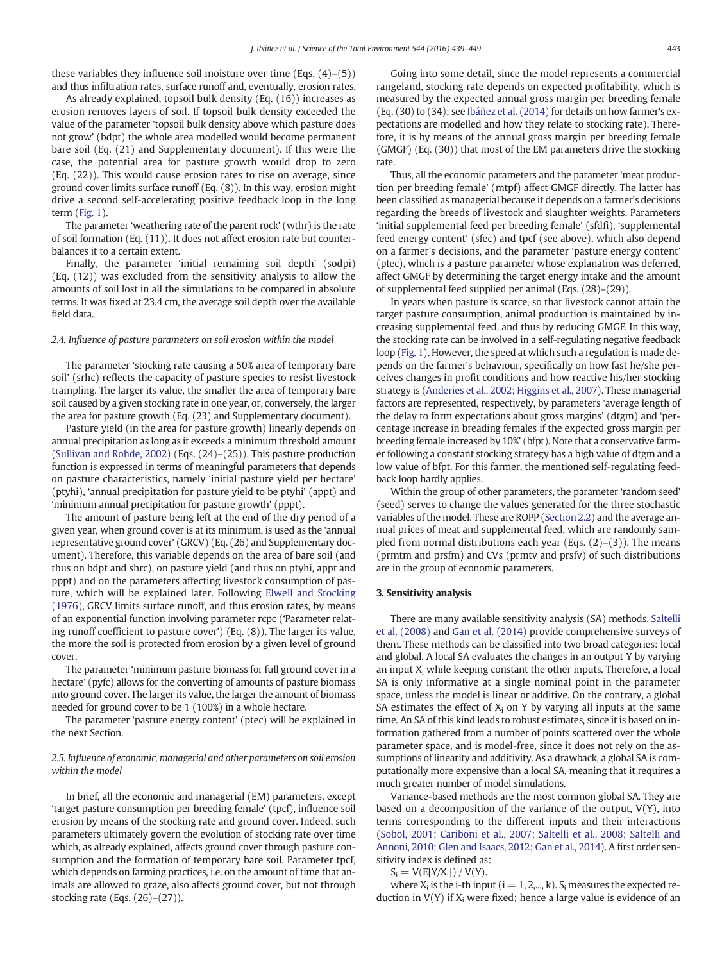<span id="page-4-0"></span>these variables they influence soil moisture over time (Eqs.  $(4)$ – $(5)$ ) and thus infiltration rates, surface runoff and, eventually, erosion rates.

As already explained, topsoil bulk density (Eq. (16)) increases as erosion removes layers of soil. If topsoil bulk density exceeded the value of the parameter 'topsoil bulk density above which pasture does not grow' (bdpt) the whole area modelled would become permanent bare soil (Eq. (21) and Supplementary document). If this were the case, the potential area for pasture growth would drop to zero (Eq. (22)). This would cause erosion rates to rise on average, since ground cover limits surface runoff (Eq. (8)). In this way, erosion might drive a second self-accelerating positive feedback loop in the long term [\(Fig. 1\)](#page-2-0).

The parameter 'weathering rate of the parent rock' (wthr) is the rate of soil formation (Eq. (11)). It does not affect erosion rate but counterbalances it to a certain extent.

Finally, the parameter 'initial remaining soil depth' (sodpi) (Eq. (12)) was excluded from the sensitivity analysis to allow the amounts of soil lost in all the simulations to be compared in absolute terms. It was fixed at 23.4 cm, the average soil depth over the available field data.

#### 2.4. Influence of pasture parameters on soil erosion within the model

The parameter 'stocking rate causing a 50% area of temporary bare soil' (srhc) reflects the capacity of pasture species to resist livestock trampling. The larger its value, the smaller the area of temporary bare soil caused by a given stocking rate in one year, or, conversely, the larger the area for pasture growth (Eq. (23) and Supplementary document).

Pasture yield (in the area for pasture growth) linearly depends on annual precipitation as long as it exceeds a minimum threshold amount [\(Sullivan and Rohde, 2002\)](#page-9-0) (Eqs. (24)–(25)). This pasture production function is expressed in terms of meaningful parameters that depends on pasture characteristics, namely 'initial pasture yield per hectare' (ptyhi), 'annual precipitation for pasture yield to be ptyhi' (appt) and 'minimum annual precipitation for pasture growth' (pppt).

The amount of pasture being left at the end of the dry period of a given year, when ground cover is at its minimum, is used as the 'annual representative ground cover' (GRCV) (Eq. (26) and Supplementary document). Therefore, this variable depends on the area of bare soil (and thus on bdpt and shrc), on pasture yield (and thus on ptyhi, appt and pppt) and on the parameters affecting livestock consumption of pasture, which will be explained later. Following [Elwell and Stocking](#page-9-0) [\(1976\),](#page-9-0) GRCV limits surface runoff, and thus erosion rates, by means of an exponential function involving parameter rcpc ('Parameter relating runoff coefficient to pasture cover') (Eq. (8)). The larger its value, the more the soil is protected from erosion by a given level of ground cover.

The parameter 'minimum pasture biomass for full ground cover in a hectare' (pyfc) allows for the converting of amounts of pasture biomass into ground cover. The larger its value, the larger the amount of biomass needed for ground cover to be 1 (100%) in a whole hectare.

The parameter 'pasture energy content' (ptec) will be explained in the next Section.

#### 2.5. Influence of economic, managerial and other parameters on soil erosion within the model

In brief, all the economic and managerial (EM) parameters, except 'target pasture consumption per breeding female' (tpcf), influence soil erosion by means of the stocking rate and ground cover. Indeed, such parameters ultimately govern the evolution of stocking rate over time which, as already explained, affects ground cover through pasture consumption and the formation of temporary bare soil. Parameter tpcf, which depends on farming practices, i.e. on the amount of time that animals are allowed to graze, also affects ground cover, but not through stocking rate (Eqs. (26)–(27)).

Going into some detail, since the model represents a commercial rangeland, stocking rate depends on expected profitability, which is measured by the expected annual gross margin per breeding female (Eq. (30) to (34); see [Ibáñez et al. \(2014\)](#page-9-0) for details on how farmer's expectations are modelled and how they relate to stocking rate). Therefore, it is by means of the annual gross margin per breeding female (GMGF) (Eq. (30)) that most of the EM parameters drive the stocking rate.

Thus, all the economic parameters and the parameter 'meat production per breeding female' (mtpf) affect GMGF directly. The latter has been classified as managerial because it depends on a farmer's decisions regarding the breeds of livestock and slaughter weights. Parameters 'initial supplemental feed per breeding female' (sfdfi), 'supplemental feed energy content' (sfec) and tpcf (see above), which also depend on a farmer's decisions, and the parameter 'pasture energy content' (ptec), which is a pasture parameter whose explanation was deferred, affect GMGF by determining the target energy intake and the amount of supplemental feed supplied per animal (Eqs. (28)–(29)).

In years when pasture is scarce, so that livestock cannot attain the target pasture consumption, animal production is maintained by increasing supplemental feed, and thus by reducing GMGF. In this way, the stocking rate can be involved in a self-regulating negative feedback loop [\(Fig. 1](#page-2-0)). However, the speed at which such a regulation is made depends on the farmer's behaviour, specifically on how fast he/she perceives changes in profit conditions and how reactive his/her stocking strategy is ([Anderies et al., 2002; Higgins et al., 2007\)](#page-9-0). These managerial factors are represented, respectively, by parameters 'average length of the delay to form expectations about gross margins' (dtgm) and 'percentage increase in breading females if the expected gross margin per breeding female increased by 10%' (bfpt). Note that a conservative farmer following a constant stocking strategy has a high value of dtgm and a low value of bfpt. For this farmer, the mentioned self-regulating feedback loop hardly applies.

Within the group of other parameters, the parameter 'random seed' (seed) serves to change the values generated for the three stochastic variables of the model. These are ROPP ([Section 2.2\)](#page-2-0) and the average annual prices of meat and supplemental feed, which are randomly sampled from normal distributions each year (Eqs.  $(2)-(3)$ ). The means (prmtm and prsfm) and CVs (prmtv and prsfv) of such distributions are in the group of economic parameters.

#### 3. Sensitivity analysis

There are many available sensitivity analysis (SA) methods. [Saltelli](#page-9-0) [et al. \(2008\)](#page-9-0) and [Gan et al. \(2014\)](#page-9-0) provide comprehensive surveys of them. These methods can be classified into two broad categories: local and global. A local SA evaluates the changes in an output Y by varying an input  $X_i$  while keeping constant the other inputs. Therefore, a local SA is only informative at a single nominal point in the parameter space, unless the model is linear or additive. On the contrary, a global SA estimates the effect of  $X_i$  on Y by varying all inputs at the same time. An SA of this kind leads to robust estimates, since it is based on information gathered from a number of points scattered over the whole parameter space, and is model-free, since it does not rely on the assumptions of linearity and additivity. As a drawback, a global SA is computationally more expensive than a local SA, meaning that it requires a much greater number of model simulations.

Variance-based methods are the most common global SA. They are based on a decomposition of the variance of the output, V(Y), into terms corresponding to the different inputs and their interactions [\(Sobol, 2001; Cariboni et al., 2007; Saltelli et al., 2008; Saltelli and](#page-9-0) [Annoni, 2010; Glen and Isaacs, 2012; Gan et al., 2014](#page-9-0)). A first order sensitivity index is defined as:

 $S_i = V(E[Y/X_i]) / V(Y).$ 

where  $X_i$  is the i-th input ( $i = 1, 2,..., k$ ). S<sub>i</sub> measures the expected reduction in  $V(Y)$  if  $X_i$  were fixed; hence a large value is evidence of an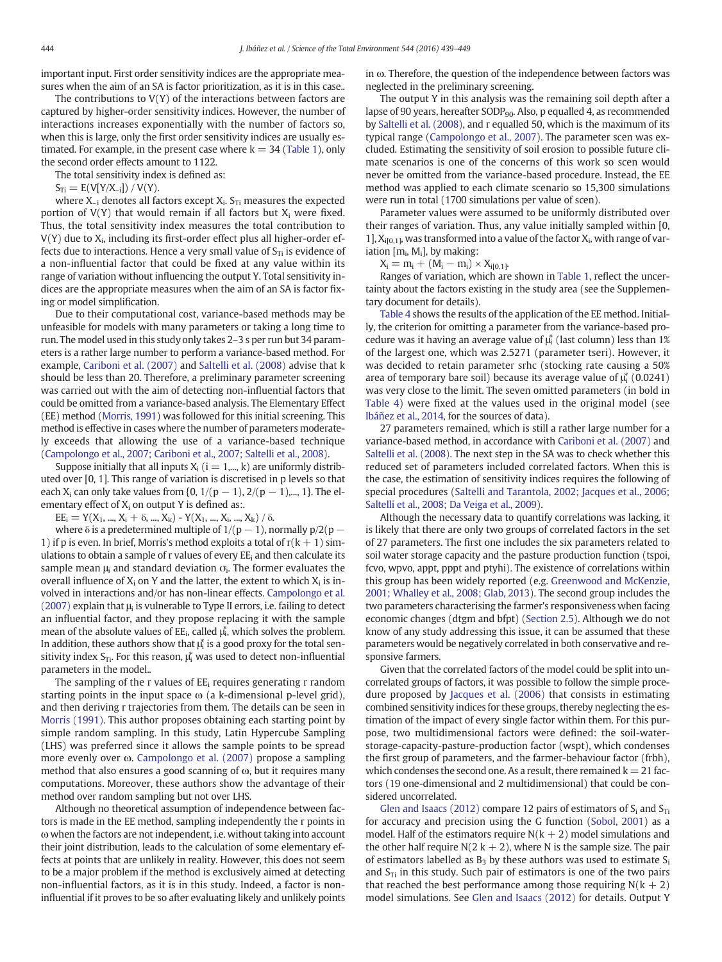important input. First order sensitivity indices are the appropriate measures when the aim of an SA is factor prioritization, as it is in this case..

The contributions to V(Y) of the interactions between factors are captured by higher-order sensitivity indices. However, the number of interactions increases exponentially with the number of factors so, when this is large, only the first order sensitivity indices are usually estimated. For example, in the present case where  $k = 34$  ([Table 1](#page-1-0)), only the second order effects amount to 1122.

The total sensitivity index is defined as:

 $S_{Ti} = E(V[Y/X_{-i}]) / V(Y).$ 

where  $X_{-i}$  denotes all factors except  $X_i$ .  $S_{Ti}$  measures the expected portion of  $V(Y)$  that would remain if all factors but  $X_i$  were fixed. Thus, the total sensitivity index measures the total contribution to V(Y) due to X<sub>i</sub>, including its first-order effect plus all higher-order effects due to interactions. Hence a very small value of  $S<sub>Ti</sub>$  is evidence of a non-influential factor that could be fixed at any value within its range of variation without influencing the output Y. Total sensitivity indices are the appropriate measures when the aim of an SA is factor fixing or model simplification.

Due to their computational cost, variance-based methods may be unfeasible for models with many parameters or taking a long time to run. The model used in this study only takes 2–3 s per run but 34 parameters is a rather large number to perform a variance-based method. For example, [Cariboni et al. \(2007\)](#page-9-0) and [Saltelli et al. \(2008\)](#page-9-0) advise that k should be less than 20. Therefore, a preliminary parameter screening was carried out with the aim of detecting non-influential factors that could be omitted from a variance-based analysis. The Elementary Effect (EE) method [\(Morris, 1991](#page-9-0)) was followed for this initial screening. This method is effective in cases where the number of parameters moderately exceeds that allowing the use of a variance-based technique [\(Campolongo et al., 2007; Cariboni et al., 2007; Saltelli et al., 2008\)](#page-9-0).

Suppose initially that all inputs  $X_i$  ( $i = 1,...,k$ ) are uniformly distributed over [0, 1]. This range of variation is discretised in p levels so that each  $X_i$  can only take values from {0,  $1/(p-1)$ ,  $2/(p-1)$ ,..., 1}. The elementary effect of  $X_i$  on output Y is defined as:.

 $EE_i = Y(X_1, ..., X_i + \delta, ..., X_k) - Y(X_1, ..., X_i, ..., X_k) / \delta.$ 

where  $\delta$  is a predetermined multiple of  $1/(p - 1)$ , normally  $p/2(p - 1)$ 1) if p is even. In brief, Morris's method exploits a total of  $r(k + 1)$  simulations to obtain a sample of r values of every EE; and then calculate its sample mean  $\mu_i$  and standard deviation  $\sigma_i$ . The former evaluates the overall influence of  $X_i$  on Y and the latter, the extent to which  $X_i$  is involved in interactions and/or has non-linear effects. [Campolongo et al.](#page-9-0)  $(2007)$  explain that  $\mu_i$  is vulnerable to Type II errors, i.e. failing to detect an influential factor, and they propose replacing it with the sample mean of the absolute values of  $EE_i$ , called  $\mu_i^*$ , which solves the problem. In addition, these authors show that  $\mu_i^*$  is a good proxy for the total sensitivity index  $S_{Ti}$ . For this reason,  $\mu_i^*$  was used to detect non-influential parameters in the model..

The sampling of the r values of  $EE_i$  requires generating r random starting points in the input space  $\omega$  (a k-dimensional p-level grid), and then deriving r trajectories from them. The details can be seen in [Morris \(1991\)](#page-9-0). This author proposes obtaining each starting point by simple random sampling. In this study, Latin Hypercube Sampling (LHS) was preferred since it allows the sample points to be spread more evenly over ω. [Campolongo et al. \(2007\)](#page-9-0) propose a sampling method that also ensures a good scanning of  $\omega$ , but it requires many computations. Moreover, these authors show the advantage of their method over random sampling but not over LHS.

Although no theoretical assumption of independence between factors is made in the EE method, sampling independently the r points in ω when the factors are not independent, i.e. without taking into account their joint distribution, leads to the calculation of some elementary effects at points that are unlikely in reality. However, this does not seem to be a major problem if the method is exclusively aimed at detecting non-influential factors, as it is in this study. Indeed, a factor is noninfluential if it proves to be so after evaluating likely and unlikely points in  $\omega$ . Therefore, the question of the independence between factors was neglected in the preliminary screening.

The output Y in this analysis was the remaining soil depth after a lapse of 90 years, hereafter SODP<sub>90</sub>. Also, p equalled 4, as recommended by [Saltelli et al. \(2008\),](#page-9-0) and r equalled 50, which is the maximum of its typical range ([Campolongo et al., 2007\)](#page-9-0). The parameter scen was excluded. Estimating the sensitivity of soil erosion to possible future climate scenarios is one of the concerns of this work so scen would never be omitted from the variance-based procedure. Instead, the EE method was applied to each climate scenario so 15,300 simulations were run in total (1700 simulations per value of scen).

Parameter values were assumed to be uniformly distributed over their ranges of variation. Thus, any value initially sampled within [0, 1],  $X_{i[0,1]}$ , was transformed into a value of the factor  $X_i$ , with range of variation  $[m_i, M_i]$ , by making:

 $X_i = m_i + (M_i - m_i) \times X_{i[0,1]}$ .

Ranges of variation, which are shown in [Table 1](#page-1-0), reflect the uncertainty about the factors existing in the study area (see the Supplementary document for details).

[Table 4](#page-6-0) shows the results of the application of the EE method. Initially, the criterion for omitting a parameter from the variance-based procedure was it having an average value of  $\mu_i^*$  (last column) less than 1% of the largest one, which was 2.5271 (parameter tseri). However, it was decided to retain parameter srhc (stocking rate causing a 50% area of temporary bare soil) because its average value of  $\mu_i^*$  (0.0241) was very close to the limit. The seven omitted parameters (in bold in [Table 4](#page-6-0)) were fixed at the values used in the original model (see [Ibáñez et al., 2014,](#page-9-0) for the sources of data).

27 parameters remained, which is still a rather large number for a variance-based method, in accordance with [Cariboni et al. \(2007\)](#page-9-0) and [Saltelli et al. \(2008\)](#page-9-0). The next step in the SA was to check whether this reduced set of parameters included correlated factors. When this is the case, the estimation of sensitivity indices requires the following of special procedures ([Saltelli and Tarantola, 2002; Jacques et al., 2006;](#page-9-0) [Saltelli et al., 2008; Da Veiga et al., 2009\)](#page-9-0).

Although the necessary data to quantify correlations was lacking, it is likely that there are only two groups of correlated factors in the set of 27 parameters. The first one includes the six parameters related to soil water storage capacity and the pasture production function (tspoi, fcvo, wpvo, appt, pppt and ptyhi). The existence of correlations within this group has been widely reported (e.g. [Greenwood and McKenzie,](#page-9-0) [2001; Whalley et al., 2008; Glab, 2013](#page-9-0)). The second group includes the two parameters characterising the farmer's responsiveness when facing economic changes (dtgm and bfpt) [\(Section 2.5](#page-4-0)). Although we do not know of any study addressing this issue, it can be assumed that these parameters would be negatively correlated in both conservative and responsive farmers.

Given that the correlated factors of the model could be split into uncorrelated groups of factors, it was possible to follow the simple procedure proposed by [Jacques et al. \(2006\)](#page-9-0) that consists in estimating combined sensitivity indices for these groups, thereby neglecting the estimation of the impact of every single factor within them. For this purpose, two multidimensional factors were defined: the soil-waterstorage-capacity-pasture-production factor (wspt), which condenses the first group of parameters, and the farmer-behaviour factor (frbh), which condenses the second one. As a result, there remained  $k = 21$  factors (19 one-dimensional and 2 multidimensional) that could be considered uncorrelated.

[Glen and Isaacs \(2012\)](#page-9-0) compare 12 pairs of estimators of  $S_i$  and  $S_{Ti}$ for accuracy and precision using the G function ([Sobol, 2001](#page-9-0)) as a model. Half of the estimators require  $N(k + 2)$  model simulations and the other half require  $N(2 k + 2)$ , where N is the sample size. The pair of estimators labelled as  $B_3$  by these authors was used to estimate  $S_i$ and  $S_{Ti}$  in this study. Such pair of estimators is one of the two pairs that reached the best performance among those requiring  $N(k + 2)$ model simulations. See [Glen and Isaacs \(2012\)](#page-9-0) for details. Output Y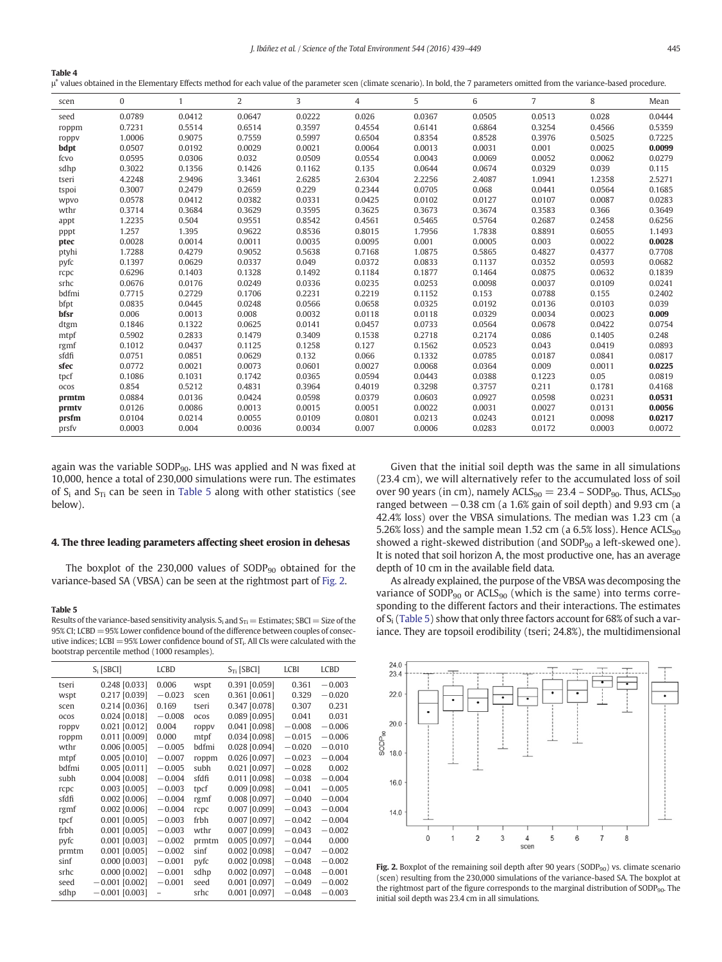<span id="page-6-0"></span>

**Table 4**<br>µ<sup>\*</sup> values obtained in the Elementary Effects method for each value of the parameter scen (climate scenario). In bold, the 7 parameters omitted from the variance-based procedure.

| scen  | $\mathbf{0}$ | 1      | 2      | 3      | 4      | 5      | 6      | $\overline{7}$ | 8      | Mean   |
|-------|--------------|--------|--------|--------|--------|--------|--------|----------------|--------|--------|
| seed  | 0.0789       | 0.0412 | 0.0647 | 0.0222 | 0.026  | 0.0367 | 0.0505 | 0.0513         | 0.028  | 0.0444 |
| roppm | 0.7231       | 0.5514 | 0.6514 | 0.3597 | 0.4554 | 0.6141 | 0.6864 | 0.3254         | 0.4566 | 0.5359 |
| roppv | 1.0006       | 0.9075 | 0.7559 | 0.5997 | 0.6504 | 0.8354 | 0.8528 | 0.3976         | 0.5025 | 0.7225 |
| bdpt  | 0.0507       | 0.0192 | 0.0029 | 0.0021 | 0.0064 | 0.0013 | 0.0031 | 0.001          | 0.0025 | 0.0099 |
| fcvo  | 0.0595       | 0.0306 | 0.032  | 0.0509 | 0.0554 | 0.0043 | 0.0069 | 0.0052         | 0.0062 | 0.0279 |
| sdhp  | 0.3022       | 0.1356 | 0.1426 | 0.1162 | 0.135  | 0.0644 | 0.0674 | 0.0329         | 0.039  | 0.115  |
| tseri | 4.2248       | 2.9496 | 3.3461 | 2.6285 | 2.6304 | 2.2256 | 2.4087 | 1.0941         | 1.2358 | 2.5271 |
| tspoi | 0.3007       | 0.2479 | 0.2659 | 0.229  | 0.2344 | 0.0705 | 0.068  | 0.0441         | 0.0564 | 0.1685 |
| wpvo  | 0.0578       | 0.0412 | 0.0382 | 0.0331 | 0.0425 | 0.0102 | 0.0127 | 0.0107         | 0.0087 | 0.0283 |
| wthr  | 0.3714       | 0.3684 | 0.3629 | 0.3595 | 0.3625 | 0.3673 | 0.3674 | 0.3583         | 0.366  | 0.3649 |
| appt  | 1.2235       | 0.504  | 0.9551 | 0.8542 | 0.4561 | 0.5465 | 0.5764 | 0.2687         | 0.2458 | 0.6256 |
| pppt  | 1.257        | 1.395  | 0.9622 | 0.8536 | 0.8015 | 1.7956 | 1.7838 | 0.8891         | 0.6055 | 1.1493 |
| ptec  | 0.0028       | 0.0014 | 0.0011 | 0.0035 | 0.0095 | 0.001  | 0.0005 | 0.003          | 0.0022 | 0.0028 |
| ptyhi | 1.7288       | 0.4279 | 0.9052 | 0.5638 | 0.7168 | 1.0875 | 0.5865 | 0.4827         | 0.4377 | 0.7708 |
| pyfc  | 0.1397       | 0.0629 | 0.0337 | 0.049  | 0.0372 | 0.0833 | 0.1137 | 0.0352         | 0.0593 | 0.0682 |
| rcpc  | 0.6296       | 0.1403 | 0.1328 | 0.1492 | 0.1184 | 0.1877 | 0.1464 | 0.0875         | 0.0632 | 0.1839 |
| srhc  | 0.0676       | 0.0176 | 0.0249 | 0.0336 | 0.0235 | 0.0253 | 0.0098 | 0.0037         | 0.0109 | 0.0241 |
| bdfmi | 0.7715       | 0.2729 | 0.1706 | 0.2231 | 0.2219 | 0.1152 | 0.153  | 0.0788         | 0.155  | 0.2402 |
| bfpt  | 0.0835       | 0.0445 | 0.0248 | 0.0566 | 0.0658 | 0.0325 | 0.0192 | 0.0136         | 0.0103 | 0.039  |
| bfsr  | 0.006        | 0.0013 | 0.008  | 0.0032 | 0.0118 | 0.0118 | 0.0329 | 0.0034         | 0.0023 | 0.009  |
| dtgm  | 0.1846       | 0.1322 | 0.0625 | 0.0141 | 0.0457 | 0.0733 | 0.0564 | 0.0678         | 0.0422 | 0.0754 |
| mtpf  | 0.5902       | 0.2833 | 0.1479 | 0.3409 | 0.1538 | 0.2718 | 0.2174 | 0.086          | 0.1405 | 0.248  |
| rgmf  | 0.1012       | 0.0437 | 0.1125 | 0.1258 | 0.127  | 0.1562 | 0.0523 | 0.043          | 0.0419 | 0.0893 |
| sfdfi | 0.0751       | 0.0851 | 0.0629 | 0.132  | 0.066  | 0.1332 | 0.0785 | 0.0187         | 0.0841 | 0.0817 |
| sfec  | 0.0772       | 0.0021 | 0.0073 | 0.0601 | 0.0027 | 0.0068 | 0.0364 | 0.009          | 0.0011 | 0.0225 |
| tpcf  | 0.1086       | 0.1031 | 0.1742 | 0.0365 | 0.0594 | 0.0443 | 0.0388 | 0.1223         | 0.05   | 0.0819 |
| ocos  | 0.854        | 0.5212 | 0.4831 | 0.3964 | 0.4019 | 0.3298 | 0.3757 | 0.211          | 0.1781 | 0.4168 |
| prmtm | 0.0884       | 0.0136 | 0.0424 | 0.0598 | 0.0379 | 0.0603 | 0.0927 | 0.0598         | 0.0231 | 0.0531 |
| prmtv | 0.0126       | 0.0086 | 0.0013 | 0.0015 | 0.0051 | 0.0022 | 0.0031 | 0.0027         | 0.0131 | 0.0056 |
| prsfm | 0.0104       | 0.0214 | 0.0055 | 0.0109 | 0.0801 | 0.0213 | 0.0243 | 0.0121         | 0.0098 | 0.0217 |
| prsfy | 0.0003       | 0.004  | 0.0036 | 0.0034 | 0.007  | 0.0006 | 0.0283 | 0.0172         | 0.0003 | 0.0072 |

again was the variable SODP $_{90}$ . LHS was applied and N was fixed at 10,000, hence a total of 230,000 simulations were run. The estimates of  $S_i$  and  $S_{Ti}$  can be seen in Table 5 along with other statistics (see below).

#### 4. The three leading parameters affecting sheet erosion in dehesas

The boxplot of the  $230,000$  values of  $SODP_{90}$  obtained for the variance-based SA (VBSA) can be seen at the rightmost part of Fig. 2.

#### Table 5

Results of the variance-based sensitivity analysis.  $S_i$  and  $S_{Ti}$  = Estimates; SBCI = Size of the 95% CI; LCBD =95% Lower confidence bound of the difference between couples of consecutive indices; LCBI = 95% Lower confidence bound of  $ST_i$ . All CIs were calculated with the bootstrap percentile method (1000 resamples).

|       | $S_i$ [SBCI]     | <b>LCBD</b> |       | $S_{Ti}$ [SBCI] | LCBI     | <b>LCBD</b> |
|-------|------------------|-------------|-------|-----------------|----------|-------------|
| tseri | 0.248 [0.033]    | 0.006       | wspt  | 0.391 [0.059]   | 0.361    | $-0.003$    |
| wspt  | $0.217$ [0.039]  | $-0.023$    | scen  | $0.361$ [0.061] | 0.329    | $-0.020$    |
| scen  | $0.214$ [0.036]  | 0.169       | tseri | 0.347 [0.078]   | 0.307    | 0.231       |
| ocos  | $0.024$ [0.018]  | $-0.008$    | ocos  | 0.089 [0.095]   | 0.041    | 0.031       |
| roppv | $0.021$ [0.012]  | 0.004       | roppv | 0.041 [0.098]   | $-0.008$ | $-0.006$    |
| roppm | 0.011 [0.009]    | 0.000       | mtpf  | 0.034 [0.098]   | $-0.015$ | $-0.006$    |
| wthr  | $0.006$ [0.005]  | $-0.005$    | bdfmi | 0.028 [0.094]   | $-0.020$ | $-0.010$    |
| mtpf  | $0.005$ [0.010]  | $-0.007$    | roppm | 0.026 [0.097]   | $-0.023$ | $-0.004$    |
| bdfmi | 0.005 [0.011]    | $-0.005$    | subh  | 0.021 [0.097]   | $-0.028$ | 0.002       |
| subh  | 0.004 [0.008]    | $-0.004$    | sfdfi | 0.011 [0.098]   | $-0.038$ | $-0.004$    |
| rcpc  | $0.003$ [0.005]  | $-0.003$    | tpcf  | 0.009 [0.098]   | $-0.041$ | $-0.005$    |
| sfdfi | $0.002$ [0.006]  | $-0.004$    | rgmf  | 0.008 [0.097]   | $-0.040$ | $-0.004$    |
| rgmf  | $0.002$ [0.006]  | $-0.004$    | rcpc  | $0.007$ [0.099] | $-0.043$ | $-0.004$    |
| tpcf  | $0.001$ [0.005]  | $-0.003$    | frbh  | 0.007 [0.097]   | $-0.042$ | $-0.004$    |
| frbh  | $0.001$ [0.005]  | $-0.003$    | wthr  | 0.007 [0.099]   | $-0.043$ | $-0.002$    |
| pyfc  | 0.001 [0.003]    | $-0.002$    | prmtm | $0.005$ [0.097] | $-0.044$ | 0.000       |
| prmtm | $0.001$ [0.005]  | $-0.002$    | sinf  | 0.002 [0.098]   | $-0.047$ | $-0.002$    |
| sinf  | $0.000$ [0.003]  | $-0.001$    | pyfc  | $0.002$ [0.098] | $-0.048$ | $-0.002$    |
| srhc  | $0.000$ [0.002]  | $-0.001$    | sdhp  | $0.002$ [0.097] | $-0.048$ | $-0.001$    |
| seed  | $-0.001$ [0.002] | $-0.001$    | seed  | 0.001 [0.097]   | $-0.049$ | $-0.002$    |
| sdhp  | $-0.001$ [0.003] |             | srhc  | 0.001 [0.097]   | $-0.048$ | $-0.003$    |
|       |                  |             |       |                 |          |             |

Given that the initial soil depth was the same in all simulations (23.4 cm), we will alternatively refer to the accumulated loss of soil over 90 years (in cm), namely  $ACLS_{90} = 23.4 - SODP_{90}$ . Thus,  $ACLS_{90}$ ranged between −0.38 cm (a 1.6% gain of soil depth) and 9.93 cm (a 42.4% loss) over the VBSA simulations. The median was 1.23 cm (a 5.26% loss) and the sample mean 1.52 cm (a  $6.5\%$  loss). Hence ACLS<sub>90</sub> showed a right-skewed distribution (and  $SODP_{90}$  a left-skewed one). It is noted that soil horizon A, the most productive one, has an average depth of 10 cm in the available field data.

As already explained, the purpose of the VBSA was decomposing the variance of  $SODP_{90}$  or  $ACLS_{90}$  (which is the same) into terms corresponding to the different factors and their interactions. The estimates of  $S_i$  (Table 5) show that only three factors account for  $68\%$  of such a variance. They are topsoil erodibility (tseri; 24.8%), the multidimensional



Fig. 2. Boxplot of the remaining soil depth after 90 years (SODP $_{90}$ ) vs. climate scenario (scen) resulting from the 230,000 simulations of the variance-based SA. The boxplot at the rightmost part of the figure corresponds to the marginal distribution of SODP<sub>90</sub>. The initial soil depth was 23.4 cm in all simulations.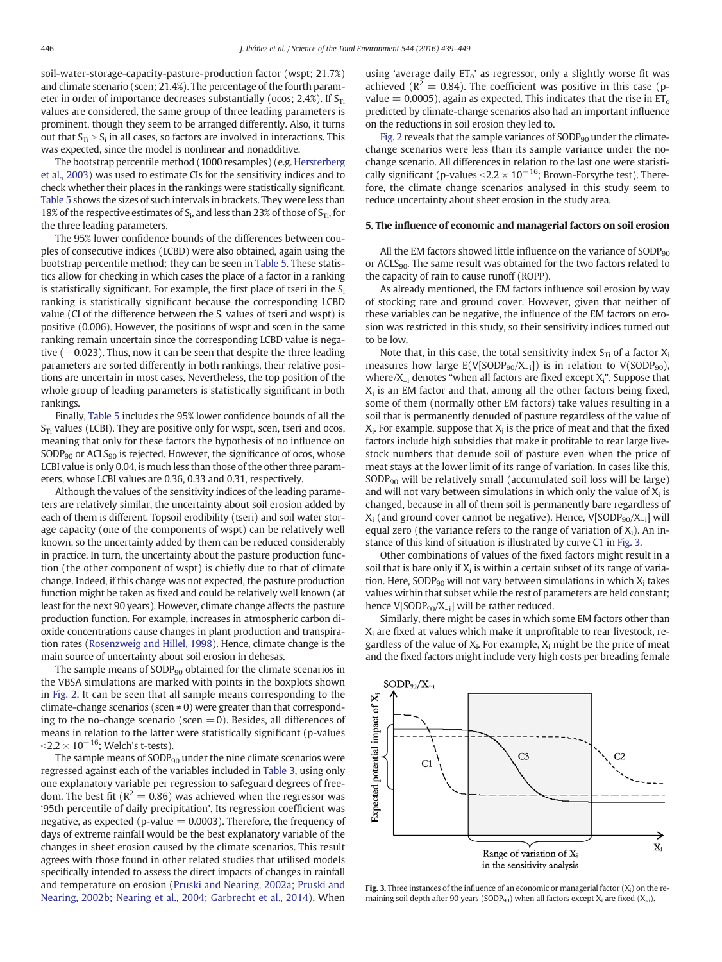<span id="page-7-0"></span>soil-water-storage-capacity-pasture-production factor (wspt; 21.7%) and climate scenario (scen; 21.4%). The percentage of the fourth parameter in order of importance decreases substantially (ocos;  $2.4\%$ ). If  $S_{Ti}$ values are considered, the same group of three leading parameters is prominent, though they seem to be arranged differently. Also, it turns out that  $S_{Ti} > S_i$  in all cases, so factors are involved in interactions. This was expected, since the model is nonlinear and nonadditive.

The bootstrap percentile method (1000 resamples) (e.g. [Hersterberg](#page-9-0) [et al., 2003\)](#page-9-0) was used to estimate CIs for the sensitivity indices and to check whether their places in the rankings were statistically significant. [Table 5](#page-6-0) shows the sizes of such intervals in brackets. They were less than 18% of the respective estimates of  $S_i$ , and less than 23% of those of  $S_{Ti}$ , for the three leading parameters.

The 95% lower confidence bounds of the differences between couples of consecutive indices (LCBD) were also obtained, again using the bootstrap percentile method; they can be seen in [Table 5](#page-6-0). These statistics allow for checking in which cases the place of a factor in a ranking is statistically significant. For example, the first place of tseri in the  $S_i$ ranking is statistically significant because the corresponding LCBD value (CI of the difference between the  $S_i$  values of tseri and wspt) is positive (0.006). However, the positions of wspt and scen in the same ranking remain uncertain since the corresponding LCBD value is negative  $(-0.023)$ . Thus, now it can be seen that despite the three leading parameters are sorted differently in both rankings, their relative positions are uncertain in most cases. Nevertheless, the top position of the whole group of leading parameters is statistically significant in both rankings.

Finally, [Table 5](#page-6-0) includes the 95% lower confidence bounds of all the  $S_{Ti}$  values (LCBI). They are positive only for wspt, scen, tseri and ocos, meaning that only for these factors the hypothesis of no influence on  $SODP_{90}$  or  $ACLS_{90}$  is rejected. However, the significance of ocos, whose LCBI value is only 0.04, is much less than those of the other three parameters, whose LCBI values are 0.36, 0.33 and 0.31, respectively.

Although the values of the sensitivity indices of the leading parameters are relatively similar, the uncertainty about soil erosion added by each of them is different. Topsoil erodibility (tseri) and soil water storage capacity (one of the components of wspt) can be relatively well known, so the uncertainty added by them can be reduced considerably in practice. In turn, the uncertainty about the pasture production function (the other component of wspt) is chiefly due to that of climate change. Indeed, if this change was not expected, the pasture production function might be taken as fixed and could be relatively well known (at least for the next 90 years). However, climate change affects the pasture production function. For example, increases in atmospheric carbon dioxide concentrations cause changes in plant production and transpiration rates [\(Rosenzweig and Hillel, 1998](#page-9-0)). Hence, climate change is the main source of uncertainty about soil erosion in dehesas.

The sample means of  $SODP_{90}$  obtained for the climate scenarios in the VBSA simulations are marked with points in the boxplots shown in [Fig. 2](#page-6-0). It can be seen that all sample means corresponding to the climate-change scenarios (scen  $\neq$  0) were greater than that corresponding to the no-change scenario (scen  $=$  0). Besides, all differences of means in relation to the latter were statistically significant (p-values  $\langle 2.2 \times 10^{-16}$ ; Welch's t-tests).

The sample means of  $SODP_{90}$  under the nine climate scenarios were regressed against each of the variables included in [Table 3](#page-3-0), using only one explanatory variable per regression to safeguard degrees of freedom. The best fit ( $R^2 = 0.86$ ) was achieved when the regressor was '95th percentile of daily precipitation'. Its regression coefficient was negative, as expected (p-value  $= 0.0003$ ). Therefore, the frequency of days of extreme rainfall would be the best explanatory variable of the changes in sheet erosion caused by the climate scenarios. This result agrees with those found in other related studies that utilised models specifically intended to assess the direct impacts of changes in rainfall and temperature on erosion [\(Pruski and Nearing, 2002a; Pruski and](#page-9-0) [Nearing, 2002b; Nearing et al., 2004; Garbrecht et al., 2014](#page-9-0)). When using 'average daily  $ET_0$ ' as regressor, only a slightly worse fit was achieved ( $R^2 = 0.84$ ). The coefficient was positive in this case (pvalue  $= 0.0005$ ), again as expected. This indicates that the rise in  $ET_0$ predicted by climate-change scenarios also had an important influence on the reductions in soil erosion they led to.

[Fig. 2](#page-6-0) reveals that the sample variances of  $SODP_{90}$  under the climatechange scenarios were less than its sample variance under the nochange scenario. All differences in relation to the last one were statistically significant (p-values < $2.2 \times 10^{-16}$ ; Brown-Forsythe test). Therefore, the climate change scenarios analysed in this study seem to reduce uncertainty about sheet erosion in the study area.

#### 5. The influence of economic and managerial factors on soil erosion

All the EM factors showed little influence on the variance of  $SODP_{90}$ or  $ACLS_{90}$ . The same result was obtained for the two factors related to the capacity of rain to cause runoff (ROPP).

As already mentioned, the EM factors influence soil erosion by way of stocking rate and ground cover. However, given that neither of these variables can be negative, the influence of the EM factors on erosion was restricted in this study, so their sensitivity indices turned out to be low.

Note that, in this case, the total sensitivity index  $S_{Ti}$  of a factor  $X_i$ measures how large  $E(V[SODP_{90}/X_{-i}])$  is in relation to  $V(SODP_{90})$ , where/ $X_{-i}$  denotes "when all factors are fixed except  $X_i$ ". Suppose that  $X_i$  is an EM factor and that, among all the other factors being fixed, some of them (normally other EM factors) take values resulting in a soil that is permanently denuded of pasture regardless of the value of  $X_i$ . For example, suppose that  $X_i$  is the price of meat and that the fixed factors include high subsidies that make it profitable to rear large livestock numbers that denude soil of pasture even when the price of meat stays at the lower limit of its range of variation. In cases like this,  $SODP_{90}$  will be relatively small (accumulated soil loss will be large) and will not vary between simulations in which only the value of  $X_i$  is changed, because in all of them soil is permanently bare regardless of  $X_i$  (and ground cover cannot be negative). Hence,  $V[SODP_{90}/X_{-i}]$  will equal zero (the variance refers to the range of variation of  $X_i$ ). An instance of this kind of situation is illustrated by curve C1 in Fig. 3.

Other combinations of values of the fixed factors might result in a soil that is bare only if  $X_i$  is within a certain subset of its range of variation. Here, SODP $_{90}$  will not vary between simulations in which  $X_i$  takes values within that subset while the rest of parameters are held constant; hence  $V[SODP<sub>90</sub>/X<sub>~i</sub>]$  will be rather reduced.

Similarly, there might be cases in which some EM factors other than Xi are fixed at values which make it unprofitable to rear livestock, regardless of the value of  $X_i$ . For example,  $X_i$  might be the price of meat and the fixed factors might include very high costs per breading female



Fig. 3. Three instances of the influence of an economic or managerial factor  $(X_i)$  on the remaining soil depth after 90 years (SODP<sub>90</sub>) when all factors except  $X_i$  are fixed (X<sub>-i</sub>).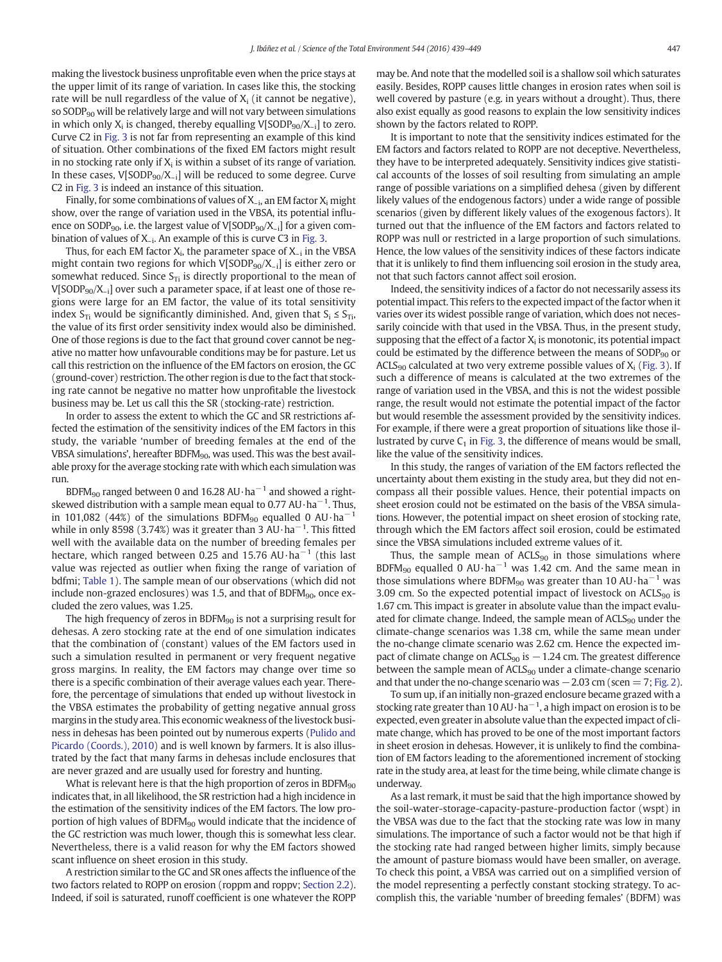making the livestock business unprofitable even when the price stays at the upper limit of its range of variation. In cases like this, the stocking rate will be null regardless of the value of  $X_i$  (it cannot be negative), so SODP $_{90}$  will be relatively large and will not vary between simulations in which only  $X_i$  is changed, thereby equalling  $V[SODP_{90}/X_{\sim i}]$  to zero. Curve C2 in [Fig. 3](#page-7-0) is not far from representing an example of this kind of situation. Other combinations of the fixed EM factors might result in no stocking rate only if  $X_i$  is within a subset of its range of variation. In these cases,  $V[SODP_{90}/X_{-i}]$  will be reduced to some degree. Curve C2 in [Fig. 3](#page-7-0) is indeed an instance of this situation.

Finally, for some combinations of values of  $X_{-i}$ , an EM factor  $X_i$  might show, over the range of variation used in the VBSA, its potential influence on SODP<sub>90</sub>, i.e. the largest value of  $V[SODP_{90}/X_{-i}]$  for a given combination of values of  $X_{-i}$ . An example of this is curve C3 in [Fig. 3](#page-7-0).

Thus, for each EM factor  $X_i$ , the parameter space of  $X_{-i}$  in the VBSA might contain two regions for which V[SODP $_{90}$ /X<sub>~i</sub>] is either zero or somewhat reduced. Since  $S_{Ti}$  is directly proportional to the mean of V[SODP $_{90}$ /X<sub>~i</sub>] over such a parameter space, if at least one of those regions were large for an EM factor, the value of its total sensitivity index  $S_{Ti}$  would be significantly diminished. And, given that  $S_i \leq S_{Ti}$ , the value of its first order sensitivity index would also be diminished. One of those regions is due to the fact that ground cover cannot be negative no matter how unfavourable conditions may be for pasture. Let us call this restriction on the influence of the EM factors on erosion, the GC (ground-cover) restriction. The other region is due to the fact that stocking rate cannot be negative no matter how unprofitable the livestock business may be. Let us call this the SR (stocking-rate) restriction.

In order to assess the extent to which the GC and SR restrictions affected the estimation of the sensitivity indices of the EM factors in this study, the variable 'number of breeding females at the end of the VBSA simulations', hereafter BDFM<sub>90</sub>, was used. This was the best available proxy for the average stocking rate with which each simulation was run.

BDFM90 ranged between 0 and 16.28 AU·ha−<sup>1</sup> and showed a rightskewed distribution with a sample mean equal to 0.77 AU $\cdot$ ha $^{-1}$ . Thus, in 101,082 (44%) of the simulations BDFM<sub>90</sub> equalled 0 AU·ha<sup>-1</sup> while in only 8598 (3.74%) was it greater than 3 AU·ha<sup>-1</sup>. This fitted well with the available data on the number of breeding females per hectare, which ranged between 0.25 and 15.76 AU·ha−<sup>1</sup> (this last value was rejected as outlier when fixing the range of variation of bdfmi; [Table 1\)](#page-1-0). The sample mean of our observations (which did not include non-grazed enclosures) was 1.5, and that of BDF $M_{90}$ , once excluded the zero values, was 1.25.

The high frequency of zeros in BDF $M_{90}$  is not a surprising result for dehesas. A zero stocking rate at the end of one simulation indicates that the combination of (constant) values of the EM factors used in such a simulation resulted in permanent or very frequent negative gross margins. In reality, the EM factors may change over time so there is a specific combination of their average values each year. Therefore, the percentage of simulations that ended up without livestock in the VBSA estimates the probability of getting negative annual gross margins in the study area. This economic weakness of the livestock business in dehesas has been pointed out by numerous experts ([Pulido and](#page-10-0) [Picardo \(Coords.\), 2010\)](#page-10-0) and is well known by farmers. It is also illustrated by the fact that many farms in dehesas include enclosures that are never grazed and are usually used for forestry and hunting.

What is relevant here is that the high proportion of zeros in  $BDFM_{90}$ indicates that, in all likelihood, the SR restriction had a high incidence in the estimation of the sensitivity indices of the EM factors. The low proportion of high values of BDFM<sub>90</sub> would indicate that the incidence of the GC restriction was much lower, though this is somewhat less clear. Nevertheless, there is a valid reason for why the EM factors showed scant influence on sheet erosion in this study.

A restriction similar to the GC and SR ones affects the influence of the two factors related to ROPP on erosion (roppm and roppv; [Section 2.2](#page-2-0)). Indeed, if soil is saturated, runoff coefficient is one whatever the ROPP may be. And note that the modelled soil is a shallow soil which saturates easily. Besides, ROPP causes little changes in erosion rates when soil is well covered by pasture (e.g. in years without a drought). Thus, there also exist equally as good reasons to explain the low sensitivity indices shown by the factors related to ROPP.

It is important to note that the sensitivity indices estimated for the EM factors and factors related to ROPP are not deceptive. Nevertheless, they have to be interpreted adequately. Sensitivity indices give statistical accounts of the losses of soil resulting from simulating an ample range of possible variations on a simplified dehesa (given by different likely values of the endogenous factors) under a wide range of possible scenarios (given by different likely values of the exogenous factors). It turned out that the influence of the EM factors and factors related to ROPP was null or restricted in a large proportion of such simulations. Hence, the low values of the sensitivity indices of these factors indicate that it is unlikely to find them influencing soil erosion in the study area, not that such factors cannot affect soil erosion.

Indeed, the sensitivity indices of a factor do not necessarily assess its potential impact. This refers to the expected impact of the factor when it varies over its widest possible range of variation, which does not necessarily coincide with that used in the VBSA. Thus, in the present study, supposing that the effect of a factor  $X_i$  is monotonic, its potential impact could be estimated by the difference between the means of SODP $_{90}$  or ACLS<sub>90</sub> calculated at two very extreme possible values of  $X_i$  [\(Fig. 3](#page-7-0)). If such a difference of means is calculated at the two extremes of the range of variation used in the VBSA, and this is not the widest possible range, the result would not estimate the potential impact of the factor but would resemble the assessment provided by the sensitivity indices. For example, if there were a great proportion of situations like those illustrated by curve  $C_1$  in [Fig. 3](#page-7-0), the difference of means would be small, like the value of the sensitivity indices.

In this study, the ranges of variation of the EM factors reflected the uncertainty about them existing in the study area, but they did not encompass all their possible values. Hence, their potential impacts on sheet erosion could not be estimated on the basis of the VBSA simulations. However, the potential impact on sheet erosion of stocking rate, through which the EM factors affect soil erosion, could be estimated since the VBSA simulations included extreme values of it.

Thus, the sample mean of  $ACLS_{90}$  in those simulations where BDFM<sub>90</sub> equalled 0 AU·ha<sup>-1</sup> was 1.42 cm. And the same mean in those simulations where BDFM<sub>90</sub> was greater than 10 AU·ha<sup>-1</sup> was 3.09 cm. So the expected potential impact of livestock on  $ACLS_{90}$  is 1.67 cm. This impact is greater in absolute value than the impact evaluated for climate change. Indeed, the sample mean of  $ACLS_{90}$  under the climate-change scenarios was 1.38 cm, while the same mean under the no-change climate scenario was 2.62 cm. Hence the expected impact of climate change on ACLS<sub>90</sub> is  $-1.24$  cm. The greatest difference between the sample mean of  $ACLS_{90}$  under a climate-change scenario and that under the no-change scenario was  $-2.03$  cm (scen  $= 7$ ; [Fig. 2](#page-6-0)).

To sum up, if an initially non-grazed enclosure became grazed with a stocking rate greater than 10 AU $\cdot$ ha $^{-1}$ , a high impact on erosion is to be expected, even greater in absolute value than the expected impact of climate change, which has proved to be one of the most important factors in sheet erosion in dehesas. However, it is unlikely to find the combination of EM factors leading to the aforementioned increment of stocking rate in the study area, at least for the time being, while climate change is underway.

As a last remark, it must be said that the high importance showed by the soil-water-storage-capacity-pasture-production factor (wspt) in the VBSA was due to the fact that the stocking rate was low in many simulations. The importance of such a factor would not be that high if the stocking rate had ranged between higher limits, simply because the amount of pasture biomass would have been smaller, on average. To check this point, a VBSA was carried out on a simplified version of the model representing a perfectly constant stocking strategy. To accomplish this, the variable 'number of breeding females' (BDFM) was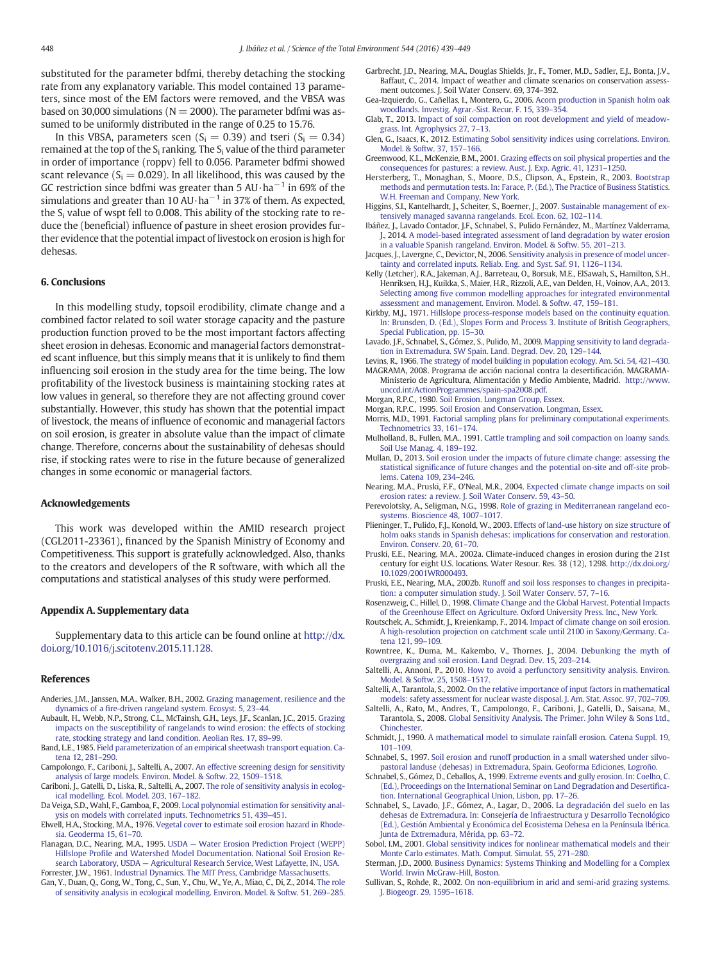<span id="page-9-0"></span>substituted for the parameter bdfmi, thereby detaching the stocking rate from any explanatory variable. This model contained 13 parameters, since most of the EM factors were removed, and the VBSA was based on 30,000 simulations ( $N = 2000$ ). The parameter bdfmi was assumed to be uniformly distributed in the range of 0.25 to 15.76.

In this VBSA, parameters scen ( $S_i = 0.39$ ) and tseri ( $S_i = 0.34$ ) remained at the top of the  $S_i$  ranking. The  $S_i$  value of the third parameter in order of importance (roppv) fell to 0.056. Parameter bdfmi showed scant relevance ( $S_i = 0.029$ ). In all likelihood, this was caused by the GC restriction since bdfmi was greater than 5 AU·ha<sup> $-1$ </sup> in 69% of the simulations and greater than 10 AU·ha<sup> $-1$ </sup> in 37% of them. As expected, the  $S_i$  value of wspt fell to 0.008. This ability of the stocking rate to reduce the (beneficial) influence of pasture in sheet erosion provides further evidence that the potential impact of livestock on erosion is high for dehesas.

#### 6. Conclusions

In this modelling study, topsoil erodibility, climate change and a combined factor related to soil water storage capacity and the pasture production function proved to be the most important factors affecting sheet erosion in dehesas. Economic and managerial factors demonstrated scant influence, but this simply means that it is unlikely to find them influencing soil erosion in the study area for the time being. The low profitability of the livestock business is maintaining stocking rates at low values in general, so therefore they are not affecting ground cover substantially. However, this study has shown that the potential impact of livestock, the means of influence of economic and managerial factors on soil erosion, is greater in absolute value than the impact of climate change. Therefore, concerns about the sustainability of dehesas should rise, if stocking rates were to rise in the future because of generalized changes in some economic or managerial factors.

#### Acknowledgements

This work was developed within the AMID research project (CGL2011-23361), financed by the Spanish Ministry of Economy and Competitiveness. This support is gratefully acknowledged. Also, thanks to the creators and developers of the R software, with which all the computations and statistical analyses of this study were performed.

#### Appendix A. Supplementary data

Supplementary data to this article can be found online at [http://dx.](http://dx.doi.org/10.1016/j.scitotenv.2015.11.128) [doi.org/10.1016/j.scitotenv.2015.11.128.](http://dx.doi.org/10.1016/j.scitotenv.2015.11.128)

#### References

- Anderies, J.M., Janssen, M.A., Walker, B.H., 2002. [Grazing management, resilience and the](http://refhub.elsevier.com/S0048-9697(15)31111-6/rf0005) dynamics of a fi[re-driven rangeland system. Ecosyst. 5, 23](http://refhub.elsevier.com/S0048-9697(15)31111-6/rf0005)–44.
- Aubault, H., Webb, N.P., Strong, C.L., McTainsh, G.H., Leys, J.F., Scanlan, J.C., 2015. [Grazing](http://refhub.elsevier.com/S0048-9697(15)31111-6/rf0010) [impacts on the susceptibility of rangelands to wind erosion: the effects of stocking](http://refhub.elsevier.com/S0048-9697(15)31111-6/rf0010) [rate, stocking strategy and land condition. Aeolian Res. 17, 89](http://refhub.elsevier.com/S0048-9697(15)31111-6/rf0010)–99.
- Band, L.E., 1985. [Field parameterization of an empirical sheetwash transport equation. Ca](http://refhub.elsevier.com/S0048-9697(15)31111-6/rf0015)[tena 12, 281](http://refhub.elsevier.com/S0048-9697(15)31111-6/rf0015)–290.
- Campolongo, F., Cariboni, J., Saltelli, A., 2007. [An effective screening design for sensitivity](http://refhub.elsevier.com/S0048-9697(15)31111-6/rf0020) [analysis of large models. Environ. Model. & Softw. 22, 1509](http://refhub.elsevier.com/S0048-9697(15)31111-6/rf0020)–1518.
- Cariboni, J., Gatelli, D., Liska, R., Saltelli, A., 2007. [The role of sensitivity analysis in ecolog](http://refhub.elsevier.com/S0048-9697(15)31111-6/rf0025)[ical modelling. Ecol. Model. 203, 167](http://refhub.elsevier.com/S0048-9697(15)31111-6/rf0025)–182.
- Da Veiga, S.D., Wahl, F., Gamboa, F., 2009. [Local polynomial estimation for sensitivity anal](http://refhub.elsevier.com/S0048-9697(15)31111-6/rf0030)[ysis on models with correlated inputs. Technometrics 51, 439](http://refhub.elsevier.com/S0048-9697(15)31111-6/rf0030)–451.
- Elwell, H.A., Stocking, M.A., 1976. [Vegetal cover to estimate soil erosion hazard in Rhode](http://refhub.elsevier.com/S0048-9697(15)31111-6/rf0035)[sia. Geoderma 15, 61](http://refhub.elsevier.com/S0048-9697(15)31111-6/rf0035)–70.
- Flanagan, D.C., Nearing, M.A., 1995. USDA [Water Erosion Prediction Project \(WEPP\)](http://refhub.elsevier.com/S0048-9697(15)31111-6/rf0040) Hillslope Profi[le and Watershed Model Documentation. National Soil Erosion Re](http://refhub.elsevier.com/S0048-9697(15)31111-6/rf0040)search Laboratory, USDA — [Agricultural Research Service, West Lafayette, IN., USA.](http://refhub.elsevier.com/S0048-9697(15)31111-6/rf0040)

Forrester, J.W., 1961. [Industrial Dynamics. The MIT Press, Cambridge Massachusetts.](http://refhub.elsevier.com/S0048-9697(15)31111-6/rf0045) Gan, Y., Duan, Q., Gong, W., Tong, C., Sun, Y., Chu, W., Ye, A., Miao, C., Di, Z., 2014. [The role](http://refhub.elsevier.com/S0048-9697(15)31111-6/rf0050) [of sensitivity analysis in ecological modelling. Environ. Model. & Softw. 51, 269](http://refhub.elsevier.com/S0048-9697(15)31111-6/rf0050)–285.

- Garbrecht, J.D., Nearing, M.A., Douglas Shields, Jr., F., Tomer, M.D., Sadler, E.J., Bonta, J.V., Baffaut, C., 2014. Impact of weather and climate scenarios on conservation assessment outcomes. J. Soil Water Conserv. 69, 374–392.
- Gea-Izquierdo, G., Cañellas, I., Montero, G., 2006. [Acorn production in Spanish holm oak](http://refhub.elsevier.com/S0048-9697(15)31111-6/rf0055) [woodlands. Investig. Agrar.-Sist. Recur. F. 15, 339](http://refhub.elsevier.com/S0048-9697(15)31111-6/rf0055)–354.
- Glab, T., 2013. [Impact of soil compaction on root development and yield of meadow](http://refhub.elsevier.com/S0048-9697(15)31111-6/rf0060)[grass. Int. Agrophysics 27, 7](http://refhub.elsevier.com/S0048-9697(15)31111-6/rf0060)–13.
- Glen, G., Isaacs, K., 2012. [Estimating Sobol sensitivity indices using correlations. Environ.](http://refhub.elsevier.com/S0048-9697(15)31111-6/rf0065) [Model. & Softw. 37, 157](http://refhub.elsevier.com/S0048-9697(15)31111-6/rf0065)–166.
- Greenwood, K.L., McKenzie, B.M., 2001. [Grazing effects on soil physical properties and the](http://refhub.elsevier.com/S0048-9697(15)31111-6/rf0070) [consequences for pastures: a review. Aust. J. Exp. Agric. 41, 1231](http://refhub.elsevier.com/S0048-9697(15)31111-6/rf0070)–1250.
- Hersterberg, T., Monaghan, S., Moore, D.S., Clipson, A., Epstein, R., 2003. [Bootstrap](http://refhub.elsevier.com/S0048-9697(15)31111-6/rf0075) [methods and permutation tests. In: Farace, P. \(Ed.\), The Practice of Business Statistics.](http://refhub.elsevier.com/S0048-9697(15)31111-6/rf0075) [W.H. Freeman and Company, New York](http://refhub.elsevier.com/S0048-9697(15)31111-6/rf0075).
- Higgins, S.I., Kantelhardt, J., Scheiter, S., Boerner, J., 2007. [Sustainable management of ex](http://refhub.elsevier.com/S0048-9697(15)31111-6/rf0080)[tensively managed savanna rangelands. Ecol. Econ. 62, 102](http://refhub.elsevier.com/S0048-9697(15)31111-6/rf0080)–114.
- Ibáñez, J., Lavado Contador, J.F., Schnabel, S., Pulido Fernández, M., Martínez Valderrama, J., 2014. [A model-based integrated assessment of land degradation by water erosion](http://refhub.elsevier.com/S0048-9697(15)31111-6/rf0085) [in a valuable Spanish rangeland. Environ. Model. & Softw. 55, 201](http://refhub.elsevier.com/S0048-9697(15)31111-6/rf0085)–213.
- Jacques, J., Lavergne, C., Devictor, N., 2006. [Sensitivity analysis in presence of model uncer](http://refhub.elsevier.com/S0048-9697(15)31111-6/rf0090)[tainty and correlated inputs. Reliab. Eng. and Syst. Saf. 91, 1126](http://refhub.elsevier.com/S0048-9697(15)31111-6/rf0090)–1134.
- Kelly (Letcher), R.A., Jakeman, A.J., Barreteau, O., Borsuk, M.E., ElSawah, S., Hamilton, S.H., Henriksen, H.J., Kuikka, S., Maier, H.R., Rizzoli, A.E., van Delden, H., Voinov, A.A., 2013. Selecting among fi[ve common modelling approaches for integrated environmental](http://refhub.elsevier.com/S0048-9697(15)31111-6/rf0095) [assessment and management. Environ. Model. & Softw. 47, 159](http://refhub.elsevier.com/S0048-9697(15)31111-6/rf0095)–181.
- Kirkby, M.J., 1971. [Hillslope process-response models based on the continuity equation.](http://refhub.elsevier.com/S0048-9697(15)31111-6/rf0100) [In: Brunsden, D. \(Ed.\), Slopes Form and Process 3. Institute of British Geographers,](http://refhub.elsevier.com/S0048-9697(15)31111-6/rf0100) [Special Publication, pp. 15](http://refhub.elsevier.com/S0048-9697(15)31111-6/rf0100)–30.
- Lavado, J.F., Schnabel, S., Gómez, S., Pulido, M., 2009. [Mapping sensitivity to land degrada](http://refhub.elsevier.com/S0048-9697(15)31111-6/rf0105)[tion in Extremadura. SW Spain. Land. Degrad. Dev. 20, 129](http://refhub.elsevier.com/S0048-9697(15)31111-6/rf0105)–144.
- Levins, R., 1966. [The strategy of model building in population ecology. Am. Sci. 54, 421](http://refhub.elsevier.com/S0048-9697(15)31111-6/rf0110)–430.
- MAGRAMA, 2008. Programa de acción nacional contra la desertificación. MAGRAMA-Ministerio de Agricultura, Alimentación y Medio Ambiente, Madrid. [http://www.](http://www.unccd.int/ActionProgrammes/spain-pa2008.pdf) [unccd.int/ActionProgrammes/spain-spa2008.pdf](http://www.unccd.int/ActionProgrammes/spain-pa2008.pdf).
- Morgan, R.P.C., 1980. [Soil Erosion. Longman Group, Essex](http://refhub.elsevier.com/S0048-9697(15)31111-6/rf0120).
- Morgan, R.P.C., 1995. [Soil Erosion and Conservation. Longman, Essex](http://refhub.elsevier.com/S0048-9697(15)31111-6/rf0125).
- Morris, M.D., 1991. [Factorial sampling plans for preliminary computational experiments.](http://refhub.elsevier.com/S0048-9697(15)31111-6/rf0130) [Technometrics 33, 161](http://refhub.elsevier.com/S0048-9697(15)31111-6/rf0130)–174.
- Mulholland, B., Fullen, M.A., 1991. [Cattle trampling and soil compaction on loamy sands.](http://refhub.elsevier.com/S0048-9697(15)31111-6/rf0135) [Soil Use Manag. 4, 189](http://refhub.elsevier.com/S0048-9697(15)31111-6/rf0135)–192.
- Mullan, D., 2013. [Soil erosion under the impacts of future climate change: assessing the](http://refhub.elsevier.com/S0048-9697(15)31111-6/rf0140) statistical signifi[cance of future changes and the potential on-site and off-site prob](http://refhub.elsevier.com/S0048-9697(15)31111-6/rf0140)[lems. Catena 109, 234](http://refhub.elsevier.com/S0048-9697(15)31111-6/rf0140)–246.
- Nearing, M.A., Pruski, F.F., O'Neal, M.R., 2004. [Expected climate change impacts on soil](http://refhub.elsevier.com/S0048-9697(15)31111-6/rf0145) [erosion rates: a review. J. Soil Water Conserv. 59, 43](http://refhub.elsevier.com/S0048-9697(15)31111-6/rf0145)–50.
- Perevolotsky, A., Seligman, N.G., 1998. [Role of grazing in Mediterranean rangeland eco](http://refhub.elsevier.com/S0048-9697(15)31111-6/rf0150)[systems. Bioscience 48, 1007](http://refhub.elsevier.com/S0048-9697(15)31111-6/rf0150)–1017.
- Plieninger, T., Pulido, F.J., Konold, W., 2003. [Effects of land-use history on size structure of](http://refhub.elsevier.com/S0048-9697(15)31111-6/rf0155) [holm oaks stands in Spanish dehesas: implications for conservation and restoration.](http://refhub.elsevier.com/S0048-9697(15)31111-6/rf0155) [Environ. Conserv. 20, 61](http://refhub.elsevier.com/S0048-9697(15)31111-6/rf0155)–70.
- Pruski, E.E., Nearing, M.A., 2002a. Climate-induced changes in erosion during the 21st century for eight U.S. locations. Water Resour. Res. 38 (12), 1298. http://dx.doi.org/ [10.1029/2001WR000493](http://dx.doi.org/10.1029/2001WR000493).
- Pruski, E.E., Nearing, M.A., 2002b. [Runoff and soil loss responses to changes in precipita](http://refhub.elsevier.com/S0048-9697(15)31111-6/rf0165)[tion: a computer simulation study. J. Soil Water Conserv. 57, 7](http://refhub.elsevier.com/S0048-9697(15)31111-6/rf0165)–16.
- Rosenzweig, C., Hillel, D., 1998. [Climate Change and the Global Harvest. Potential Impacts](http://refhub.elsevier.com/S0048-9697(15)31111-6/rf0170) [of the Greenhouse Effect on Agriculture. Oxford University Press. Inc., New York](http://refhub.elsevier.com/S0048-9697(15)31111-6/rf0170).
- Routschek, A., Schmidt, J., Kreienkamp, F., 2014. [Impact of climate change on soil erosion.](http://refhub.elsevier.com/S0048-9697(15)31111-6/rf0175) [A high-resolution projection on catchment scale until 2100 in Saxony/Germany. Ca](http://refhub.elsevier.com/S0048-9697(15)31111-6/rf0175)[tena 121, 99](http://refhub.elsevier.com/S0048-9697(15)31111-6/rf0175)–109.
- Rowntree, K., Duma, M., Kakembo, V., Thornes, J., 2004. [Debunking the myth of](http://refhub.elsevier.com/S0048-9697(15)31111-6/rf0180) [overgrazing and soil erosion. Land Degrad. Dev. 15, 203](http://refhub.elsevier.com/S0048-9697(15)31111-6/rf0180)–214.
- Saltelli, A., Annoni, P., 2010. [How to avoid a perfunctory sensitivity analysis. Environ.](http://refhub.elsevier.com/S0048-9697(15)31111-6/rf0190) [Model. & Softw. 25, 1508](http://refhub.elsevier.com/S0048-9697(15)31111-6/rf0190)–1517.
- Saltelli, A., Tarantola, S., 2002. [On the relative importance of input factors in mathematical](http://refhub.elsevier.com/S0048-9697(15)31111-6/rf0195) [models: safety assessment for nuclear waste disposal. J. Am. Stat. Assoc. 97, 702](http://refhub.elsevier.com/S0048-9697(15)31111-6/rf0195)–709.
- Saltelli, A., Rato, M., Andres, T., Campolongo, F., Cariboni, J., Gatelli, D., Saisana, M., Tarantola, S., 2008. [Global Sensitivity Analysis. The Primer. John Wiley & Sons Ltd.,](http://refhub.elsevier.com/S0048-9697(15)31111-6/rf0200) **[Chinchester](http://refhub.elsevier.com/S0048-9697(15)31111-6/rf0200).**
- Schmidt, J., 1990. [A mathematical model to simulate rainfall erosion. Catena Suppl. 19,](http://refhub.elsevier.com/S0048-9697(15)31111-6/rf0205) 101–[109.](http://refhub.elsevier.com/S0048-9697(15)31111-6/rf0205)
- Schnabel, S., 1997. [Soil erosion and runoff production in a small watershed under silvo](http://refhub.elsevier.com/S0048-9697(15)31111-6/rf0210)[pastoral landuse \(dehesas\) in Extremadura, Spain. Geoforma Ediciones, Logroño](http://refhub.elsevier.com/S0048-9697(15)31111-6/rf0210).
- Schnabel, S., Gómez, D., Ceballos, A., 1999. [Extreme events and gully erosion. In: Coelho, C.](http://refhub.elsevier.com/S0048-9697(15)31111-6/rf0215) [\(Ed.\), Proceedings on the International Seminar on Land Degradation and Deserti](http://refhub.elsevier.com/S0048-9697(15)31111-6/rf0215)fica[tion. International Geographical Union, Lisbon, pp. 17](http://refhub.elsevier.com/S0048-9697(15)31111-6/rf0215)–26.
- Schnabel, S., Lavado, J.F., Gómez, A., Lagar, D., 2006. [La degradación del suelo en las](http://refhub.elsevier.com/S0048-9697(15)31111-6/rf0220) [dehesas de Extremadura. In: Consejería de Infraestructura y Desarrollo Tecnológico](http://refhub.elsevier.com/S0048-9697(15)31111-6/rf0220) [\(Ed.\), Gestión Ambiental y Económica del Ecosistema Dehesa en la Península Ibérica.](http://refhub.elsevier.com/S0048-9697(15)31111-6/rf0220) [Junta de Extremadura, Mérida, pp. 63](http://refhub.elsevier.com/S0048-9697(15)31111-6/rf0220)–72.
- Sobol, I.M., 2001. [Global sensitivity indices for nonlinear mathematical models and their](http://refhub.elsevier.com/S0048-9697(15)31111-6/rf0225) [Monte Carlo estimates. Math. Comput. Simulat. 55, 271](http://refhub.elsevier.com/S0048-9697(15)31111-6/rf0225)–280.
- Sterman, J.D., 2000. [Business Dynamics: Systems Thinking and Modelling for a Complex](http://refhub.elsevier.com/S0048-9697(15)31111-6/rf0230) [World. Irwin McGraw-Hill, Boston](http://refhub.elsevier.com/S0048-9697(15)31111-6/rf0230).
- Sullivan, S., Rohde, R., 2002. [On non-equilibrium in arid and semi-arid grazing systems.](http://refhub.elsevier.com/S0048-9697(15)31111-6/rf0235) [J. Biogeogr. 29, 1595](http://refhub.elsevier.com/S0048-9697(15)31111-6/rf0235)–1618.